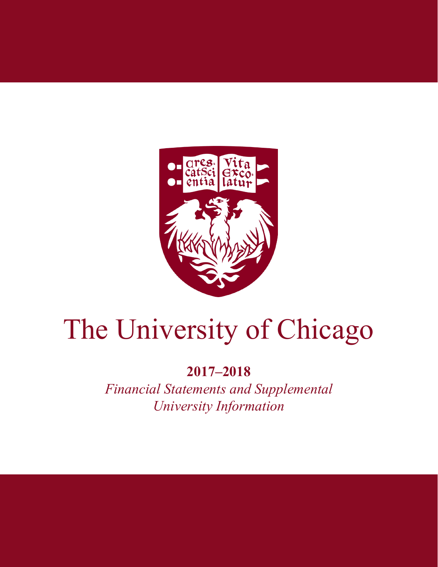

# The University of Chicago

# **2017–2018**

*Financial Statements and Supplemental University Information*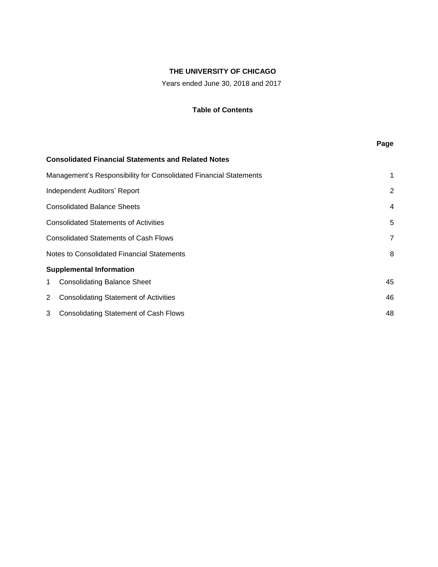Years ended June 30, 2018 and 2017

## **Table of Contents**

|                            |                                                                   | Page           |
|----------------------------|-------------------------------------------------------------------|----------------|
|                            | <b>Consolidated Financial Statements and Related Notes</b>        |                |
|                            | Management's Responsibility for Consolidated Financial Statements | $\mathbf 1$    |
|                            | Independent Auditors' Report                                      | 2              |
|                            | <b>Consolidated Balance Sheets</b>                                | $\overline{4}$ |
|                            | <b>Consolidated Statements of Activities</b>                      | 5              |
|                            | <b>Consolidated Statements of Cash Flows</b>                      | $\overline{7}$ |
|                            | <b>Notes to Consolidated Financial Statements</b>                 | 8              |
|                            | <b>Supplemental Information</b>                                   |                |
| 1 $\overline{\phantom{a}}$ | <b>Consolidating Balance Sheet</b>                                | 45             |
| 2                          | <b>Consolidating Statement of Activities</b>                      | 46             |
|                            | 3 Consolidating Statement of Cash Flows                           | 48             |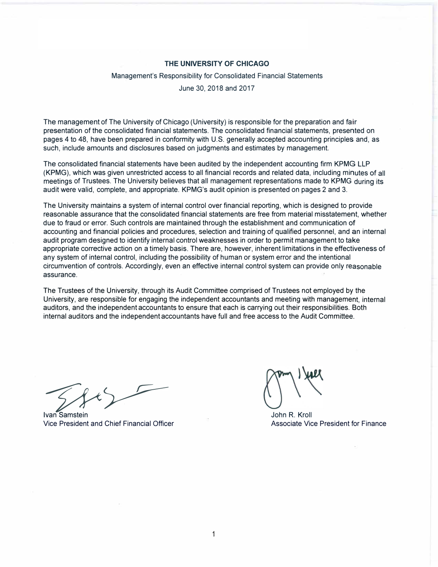#### Management's Responsibility for Consolidated Financial Statements

June 30, 2018 and 2017

The management of The University of Chicago (University) is responsible for the preparation and fair presentation of the consolidated financial statements. The consolidated financial statements, presented on pages 4 to 48, have been prepared in conformity with U.S. generally accepted accounting principles and, as such, include amounts and disclosures based on judgments and estimates by management.

The consolidated financial statements have been audited by the independent accounting firm KPMG LLP (KPMG), which was given unrestricted access to all financial records and related data, including minutes of all meetings of Trustees. The University believes that all management representations made to KPMG during its audit were valid, complete, and appropriate. KPMG's audit opinion is presented on pages 2 and 3.

The University maintains a system of internal control over financial reporting, which is designed to provide reasonable assurance that the consolidated financial statements are free from material misstatement, whether due to fraud or error. Such controls are maintained through the establishment and communication of accounting and financial policies and procedures, selection and training of qualified personnel, and an internal audit program designed to identify internal control weaknesses in order to permit management to take appropriate corrective action on a timely basis. There are, however, inherent limitations in the effectiveness of any system of internal control, including the possibility of human or system error and the intentional circumvention of controls. Accordingly, even an effective internal control system can provide only reasonable assurance.

The Trustees of the University, through its Audit Committee comprised of Trustees not employed by the University, are responsible for engaging the independent accountants and meeting with management, internal auditors, and the independent accountants to ensure that each is carrying out their responsibilities. Both internal auditors and the independent accountants have full and free access to the Audit Committee.

**Ivan Samstein John R. Kroll** Vice President and Chief Financial Officer Associate Vice President for Finance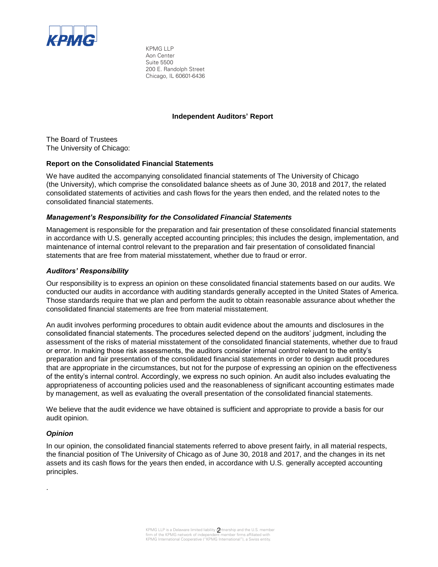

KPMG LLP Aon Center Suite 5500 200 E. Randolph Street Chicago, IL 60601-6436

#### **Independent Auditors' Report**

The Board of Trustees The University of Chicago:

#### **Report on the Consolidated Financial Statements**

We have audited the accompanying consolidated financial statements of The University of Chicago (the University), which comprise the consolidated balance sheets as of June 30, 2018 and 2017, the related consolidated statements of activities and cash flows for the years then ended, and the related notes to the consolidated financial statements.

#### *Management's Responsibility for the Consolidated Financial Statements*

Management is responsible for the preparation and fair presentation of these consolidated financial statements in accordance with U.S. generally accepted accounting principles; this includes the design, implementation, and maintenance of internal control relevant to the preparation and fair presentation of consolidated financial statements that are free from material misstatement, whether due to fraud or error.

#### *Auditors' Responsibility*

Our responsibility is to express an opinion on these consolidated financial statements based on our audits. We conducted our audits in accordance with auditing standards generally accepted in the United States of America. Those standards require that we plan and perform the audit to obtain reasonable assurance about whether the consolidated financial statements are free from material misstatement.

An audit involves performing procedures to obtain audit evidence about the amounts and disclosures in the consolidated financial statements. The procedures selected depend on the auditors' judgment, including the assessment of the risks of material misstatement of the consolidated financial statements, whether due to fraud or error. In making those risk assessments, the auditors consider internal control relevant to the entity's preparation and fair presentation of the consolidated financial statements in order to design audit procedures that are appropriate in the circumstances, but not for the purpose of expressing an opinion on the effectiveness of the entity's internal control. Accordingly, we express no such opinion. An audit also includes evaluating the appropriateness of accounting policies used and the reasonableness of significant accounting estimates made by management, as well as evaluating the overall presentation of the consolidated financial statements.

We believe that the audit evidence we have obtained is sufficient and appropriate to provide a basis for our audit opinion.

#### *Opinion*

.

In our opinion, the consolidated financial statements referred to above present fairly, in all material respects, the financial position of The University of Chicago as of June 30, 2018 and 2017, and the changes in its net assets and its cash flows for the years then ended, in accordance with U.S. generally accepted accounting principles.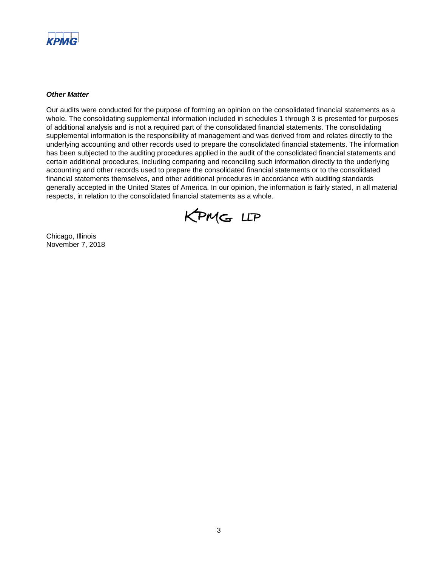

#### *Other Matter*

Our audits were conducted for the purpose of forming an opinion on the consolidated financial statements as a whole. The consolidating supplemental information included in schedules 1 through 3 is presented for purposes of additional analysis and is not a required part of the consolidated financial statements. The consolidating supplemental information is the responsibility of management and was derived from and relates directly to the underlying accounting and other records used to prepare the consolidated financial statements. The information has been subjected to the auditing procedures applied in the audit of the consolidated financial statements and certain additional procedures, including comparing and reconciling such information directly to the underlying accounting and other records used to prepare the consolidated financial statements or to the consolidated financial statements themselves, and other additional procedures in accordance with auditing standards generally accepted in the United States of America. In our opinion, the information is fairly stated, in all material respects, in relation to the consolidated financial statements as a whole.



Chicago, Illinois November 7, 2018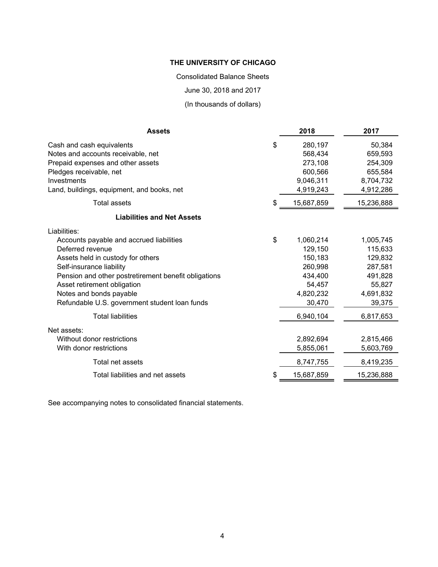Consolidated Balance Sheets

June 30, 2018 and 2017

(In thousands of dollars)

| <b>Assets</b>                                        | 2018       | 2017       |
|------------------------------------------------------|------------|------------|
| \$<br>Cash and cash equivalents                      | 280,197    | 50,384     |
| Notes and accounts receivable, net                   | 568,434    | 659,593    |
| Prepaid expenses and other assets                    | 273,108    | 254,309    |
| Pledges receivable, net                              | 600,566    | 655,584    |
| Investments                                          | 9,046,311  | 8,704,732  |
| Land, buildings, equipment, and books, net           | 4,919,243  | 4,912,286  |
| <b>Total assets</b><br>\$                            | 15,687,859 | 15,236,888 |
| <b>Liabilities and Net Assets</b>                    |            |            |
| Liabilities:                                         |            |            |
| \$<br>Accounts payable and accrued liabilities       | 1,060,214  | 1,005,745  |
| Deferred revenue                                     | 129,150    | 115,633    |
| Assets held in custody for others                    | 150,183    | 129,832    |
| Self-insurance liability                             | 260,998    | 287,581    |
| Pension and other postretirement benefit obligations | 434,400    | 491,828    |
| Asset retirement obligation                          | 54,457     | 55,827     |
| Notes and bonds payable                              | 4,820,232  | 4,691,832  |
| Refundable U.S. government student loan funds        | 30,470     | 39,375     |
| <b>Total liabilities</b>                             | 6,940,104  | 6,817,653  |
| Net assets:                                          |            |            |
| Without donor restrictions                           | 2,892,694  | 2,815,466  |
| With donor restrictions                              | 5,855,061  | 5,603,769  |
| Total net assets                                     | 8,747,755  | 8,419,235  |
| \$<br>Total liabilities and net assets               | 15,687,859 | 15,236,888 |

See accompanying notes to consolidated financial statements.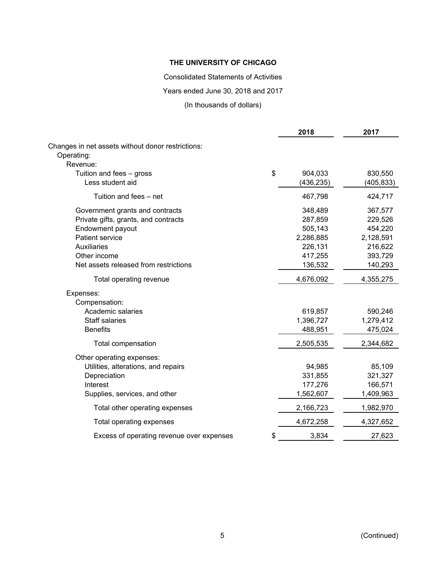Consolidated Statements of Activities

Years ended June 30, 2018 and 2017

(In thousands of dollars)

|                                                   | 2018          | 2017       |
|---------------------------------------------------|---------------|------------|
| Changes in net assets without donor restrictions: |               |            |
| Operating:                                        |               |            |
| Revenue:                                          |               |            |
| Tuition and fees - gross                          | \$<br>904,033 | 830,550    |
| Less student aid                                  | (436, 235)    | (405, 833) |
| Tuition and fees - net                            | 467,798       | 424,717    |
| Government grants and contracts                   | 348,489       | 367,577    |
| Private gifts, grants, and contracts              | 287,859       | 229,526    |
| Endowment payout                                  | 505,143       | 454,220    |
| <b>Patient service</b>                            | 2,286,885     | 2,128,591  |
| <b>Auxiliaries</b>                                | 226,131       | 216,622    |
| Other income                                      | 417,255       | 393,729    |
| Net assets released from restrictions             | 136,532       | 140,293    |
| Total operating revenue                           | 4,676,092     | 4,355,275  |
| Expenses:                                         |               |            |
| Compensation:                                     |               |            |
| Academic salaries                                 | 619,857       | 590,246    |
| <b>Staff salaries</b>                             | 1,396,727     | 1,279,412  |
| <b>Benefits</b>                                   | 488,951       | 475,024    |
| Total compensation                                | 2,505,535     | 2,344,682  |
| Other operating expenses:                         |               |            |
| Utilities, alterations, and repairs               | 94,985        | 85,109     |
| Depreciation                                      | 331,855       | 321,327    |
| Interest                                          | 177,276       | 166,571    |
| Supplies, services, and other                     | 1,562,607     | 1,409,963  |
| Total other operating expenses                    | 2,166,723     | 1,982,970  |
| Total operating expenses                          | 4,672,258     | 4,327,652  |
| Excess of operating revenue over expenses         | \$<br>3,834   | 27,623     |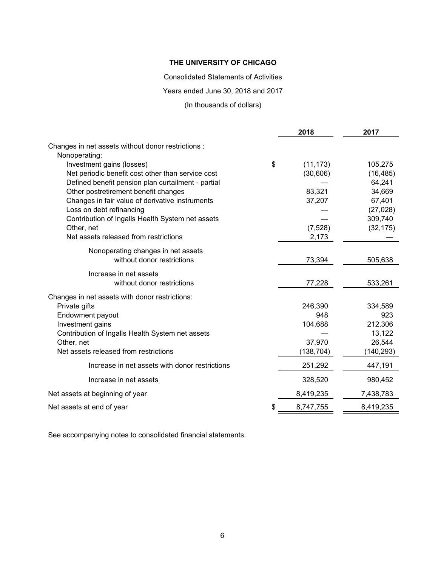Consolidated Statements of Activities

Years ended June 30, 2018 and 2017

(In thousands of dollars)

|                                                                     | 2018            | 2017       |
|---------------------------------------------------------------------|-----------------|------------|
| Changes in net assets without donor restrictions :<br>Nonoperating: |                 |            |
| Investment gains (losses)                                           | \$<br>(11, 173) | 105,275    |
| Net periodic benefit cost other than service cost                   | (30, 606)       | (16, 485)  |
| Defined benefit pension plan curtailment - partial                  |                 | 64,241     |
| Other postretirement benefit changes                                | 83,321          | 34,669     |
| Changes in fair value of derivative instruments                     | 37,207          | 67,401     |
| Loss on debt refinancing                                            |                 | (27, 028)  |
| Contribution of Ingalls Health System net assets                    |                 | 309,740    |
| Other, net                                                          | (7, 528)        | (32, 175)  |
| Net assets released from restrictions                               | 2,173           |            |
| Nonoperating changes in net assets                                  |                 |            |
| without donor restrictions                                          | 73,394          | 505,638    |
| Increase in net assets                                              |                 |            |
| without donor restrictions                                          | 77,228          | 533,261    |
| Changes in net assets with donor restrictions:                      |                 |            |
| Private gifts                                                       | 246,390         | 334,589    |
| Endowment payout                                                    | 948             | 923        |
| Investment gains                                                    | 104,688         | 212,306    |
| Contribution of Ingalls Health System net assets                    |                 | 13,122     |
| Other, net                                                          | 37,970          | 26,544     |
| Net assets released from restrictions                               | (138, 704)      | (140, 293) |
| Increase in net assets with donor restrictions                      | 251,292         | 447,191    |
| Increase in net assets                                              | 328,520         | 980,452    |
| Net assets at beginning of year                                     | 8,419,235       | 7,438,783  |
| Net assets at end of year                                           | \$<br>8,747,755 | 8,419,235  |

See accompanying notes to consolidated financial statements.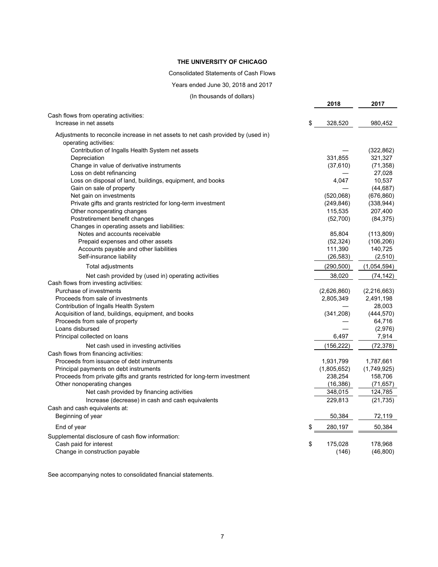#### Consolidated Statements of Cash Flows

#### Years ended June 30, 2018 and 2017

(In thousands of dollars)

**2018 2017**

| Cash flows from operating activities:<br>Increase in net assets                   | \$<br>328,520 | 980,452     |
|-----------------------------------------------------------------------------------|---------------|-------------|
|                                                                                   |               |             |
| Adjustments to reconcile increase in net assets to net cash provided by (used in) |               |             |
| operating activities:                                                             |               |             |
| Contribution of Ingalls Health System net assets                                  |               | (322, 862)  |
| Depreciation                                                                      | 331,855       | 321,327     |
| Change in value of derivative instruments                                         | (37, 610)     | (71, 358)   |
| Loss on debt refinancing                                                          |               | 27,028      |
| Loss on disposal of land, buildings, equipment, and books                         | 4,047         | 10,537      |
| Gain on sale of property                                                          |               | (44, 687)   |
| Net gain on investments                                                           | (520,068)     | (676, 860)  |
| Private gifts and grants restricted for long-term investment                      | (249, 846)    | (338, 944)  |
| Other nonoperating changes                                                        | 115,535       | 207,400     |
| Postretirement benefit changes                                                    | (52,700)      | (84, 375)   |
| Changes in operating assets and liabilities:                                      |               |             |
| Notes and accounts receivable                                                     | 85,804        | (113, 809)  |
| Prepaid expenses and other assets                                                 | (52, 324)     | (106, 206)  |
| Accounts payable and other liabilities                                            | 111,390       | 140,725     |
| Self-insurance liability                                                          | (26, 583)     | (2, 510)    |
| Total adjustments                                                                 | (290,500)     | (1,054,594) |
| Net cash provided by (used in) operating activities                               | 38,020        | (74,142)    |
| Cash flows from investing activities:                                             |               |             |
| Purchase of investments                                                           | (2,626,860)   | (2,216,663) |
| Proceeds from sale of investments                                                 | 2,805,349     | 2,491,198   |
| Contribution of Ingalls Health System                                             |               | 28,003      |
| Acquisition of land, buildings, equipment, and books                              | (341, 208)    | (444, 570)  |
| Proceeds from sale of property                                                    |               | 64,716      |
| Loans disbursed                                                                   |               | (2,976)     |
| Principal collected on loans                                                      | 6,497         | 7,914       |
| Net cash used in investing activities                                             | (156,222)     | (72, 378)   |
| Cash flows from financing activities:                                             |               |             |
| Proceeds from issuance of debt instruments                                        | 1,931,799     | 1,787,661   |
| Principal payments on debt instruments                                            | (1,805,652)   | (1,749,925) |
| Proceeds from private gifts and grants restricted for long-term investment        | 238,254       | 158,706     |
| Other nonoperating changes                                                        | (16, 386)     | (71, 657)   |
| Net cash provided by financing activities                                         | 348,015       | 124,785     |
| Increase (decrease) in cash and cash equivalents                                  | 229,813       | (21, 735)   |
| Cash and cash equivalents at:                                                     |               |             |
| Beginning of year                                                                 | 50,384        | 72,119      |
|                                                                                   |               |             |
| End of year                                                                       | \$<br>280,197 | 50,384      |
| Supplemental disclosure of cash flow information:                                 |               |             |
| Cash paid for interest                                                            | \$<br>175,028 | 178,968     |
| Change in construction payable                                                    | (146)         | (46, 800)   |

See accompanying notes to consolidated financial statements.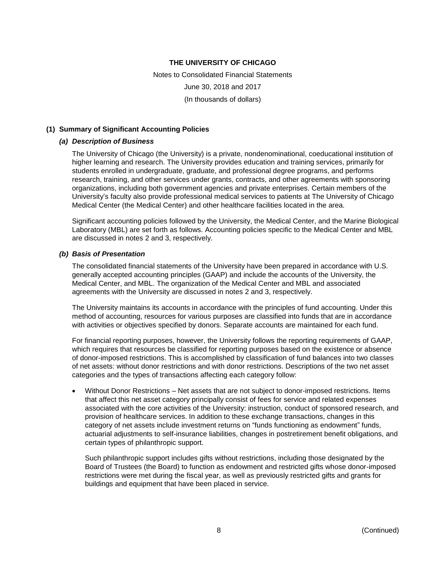Notes to Consolidated Financial Statements June 30, 2018 and 2017 (In thousands of dollars)

#### **(1) Summary of Significant Accounting Policies**

#### *(a) Description of Business*

The University of Chicago (the University) is a private, nondenominational, coeducational institution of higher learning and research. The University provides education and training services, primarily for students enrolled in undergraduate, graduate, and professional degree programs, and performs research, training, and other services under grants, contracts, and other agreements with sponsoring organizations, including both government agencies and private enterprises. Certain members of the University's faculty also provide professional medical services to patients at The University of Chicago Medical Center (the Medical Center) and other healthcare facilities located in the area.

Significant accounting policies followed by the University, the Medical Center, and the Marine Biological Laboratory (MBL) are set forth as follows. Accounting policies specific to the Medical Center and MBL are discussed in notes 2 and 3, respectively.

#### *(b) Basis of Presentation*

The consolidated financial statements of the University have been prepared in accordance with U.S. generally accepted accounting principles (GAAP) and include the accounts of the University, the Medical Center, and MBL. The organization of the Medical Center and MBL and associated agreements with the University are discussed in notes 2 and 3, respectively.

The University maintains its accounts in accordance with the principles of fund accounting. Under this method of accounting, resources for various purposes are classified into funds that are in accordance with activities or objectives specified by donors. Separate accounts are maintained for each fund.

For financial reporting purposes, however, the University follows the reporting requirements of GAAP, which requires that resources be classified for reporting purposes based on the existence or absence of donor-imposed restrictions. This is accomplished by classification of fund balances into two classes of net assets: without donor restrictions and with donor restrictions. Descriptions of the two net asset categories and the types of transactions affecting each category follow:

 Without Donor Restrictions – Net assets that are not subject to donor-imposed restrictions. Items that affect this net asset category principally consist of fees for service and related expenses associated with the core activities of the University: instruction, conduct of sponsored research, and provision of healthcare services. In addition to these exchange transactions, changes in this category of net assets include investment returns on "funds functioning as endowment" funds, actuarial adjustments to self-insurance liabilities, changes in postretirement benefit obligations, and certain types of philanthropic support.

Such philanthropic support includes gifts without restrictions, including those designated by the Board of Trustees (the Board) to function as endowment and restricted gifts whose donor-imposed restrictions were met during the fiscal year, as well as previously restricted gifts and grants for buildings and equipment that have been placed in service.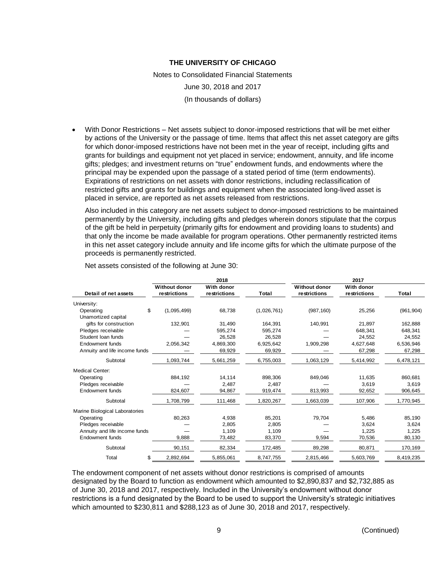Notes to Consolidated Financial Statements

June 30, 2018 and 2017

(In thousands of dollars)

 With Donor Restrictions – Net assets subject to donor-imposed restrictions that will be met either by actions of the University or the passage of time. Items that affect this net asset category are gifts for which donor-imposed restrictions have not been met in the year of receipt, including gifts and grants for buildings and equipment not yet placed in service; endowment, annuity, and life income gifts; pledges; and investment returns on "true" endowment funds, and endowments where the principal may be expended upon the passage of a stated period of time (term endowments). Expirations of restrictions on net assets with donor restrictions, including reclassification of restricted gifts and grants for buildings and equipment when the associated long-lived asset is placed in service, are reported as net assets released from restrictions.

Also included in this category are net assets subject to donor-imposed restrictions to be maintained permanently by the University, including gifts and pledges wherein donors stipulate that the corpus of the gift be held in perpetuity (primarily gifts for endowment and providing loans to students) and that only the income be made available for program operations. Other permanently restricted items in this net asset category include annuity and life income gifts for which the ultimate purpose of the proceeds is permanently restricted.

|                                |                      | 2018         |             |                      | 2017         |            |
|--------------------------------|----------------------|--------------|-------------|----------------------|--------------|------------|
|                                | <b>Without donor</b> | With donor   |             | <b>Without donor</b> | With donor   |            |
| Detail of net assets           | restrictions         | restrictions | Total       | restrictions         | restrictions | Total      |
| University:                    |                      |              |             |                      |              |            |
| \$<br>Operating                | (1,095,499)          | 68,738       | (1,026,761) | (987, 160)           | 25,256       | (961, 904) |
| Unamortized capital            |                      |              |             |                      |              |            |
| gifts for construction         | 132,901              | 31,490       | 164,391     | 140,991              | 21,897       | 162,888    |
| Pledges receivable             |                      | 595,274      | 595,274     |                      | 648,341      | 648,341    |
| Student Ioan funds             |                      | 26,528       | 26,528      |                      | 24,552       | 24,552     |
| Endowment funds                | 2,056,342            | 4,869,300    | 6,925,642   | 1,909,298            | 4,627,648    | 6,536,946  |
| Annuity and life income funds  |                      | 69,929       | 69,929      |                      | 67,298       | 67,298     |
| Subtotal                       | 1,093,744            | 5,661,259    | 6,755,003   | 1,063,129            | 5,414,992    | 6,478,121  |
| Medical Center:                |                      |              |             |                      |              |            |
| Operating                      | 884,192              | 14,114       | 898,306     | 849,046              | 11,635       | 860,681    |
| Pledges receivable             |                      | 2,487        | 2,487       |                      | 3.619        | 3,619      |
| Endowment funds                | 824,607              | 94,867       | 919,474     | 813,993              | 92,652       | 906,645    |
| Subtotal                       | 1,708,799            | 111,468      | 1,820,267   | 1,663,039            | 107,906      | 1,770,945  |
| Marine Biological Laboratories |                      |              |             |                      |              |            |
| Operating                      | 80,263               | 4,938        | 85,201      | 79,704               | 5,486        | 85,190     |
| Pledges receivable             |                      | 2,805        | 2,805       |                      | 3,624        | 3,624      |
| Annuity and life income funds  |                      | 1,109        | 1,109       |                      | 1,225        | 1,225      |
| <b>Endowment funds</b>         | 9,888                | 73,482       | 83,370      | 9,594                | 70,536       | 80,130     |
| Subtotal                       | 90,151               | 82,334       | 172,485     | 89,298               | 80,871       | 170,169    |
| Total<br>\$                    | 2,892,694            | 5,855,061    | 8,747,755   | 2,815,466            | 5,603,769    | 8,419,235  |

Net assets consisted of the following at June 30:

The endowment component of net assets without donor restrictions is comprised of amounts designated by the Board to function as endowment which amounted to \$2,890,837 and \$2,732,885 as of June 30, 2018 and 2017, respectively. Included in the University's endowment without donor restrictions is a fund designated by the Board to be used to support the University's strategic initiatives which amounted to \$230,811 and \$288,123 as of June 30, 2018 and 2017, respectively.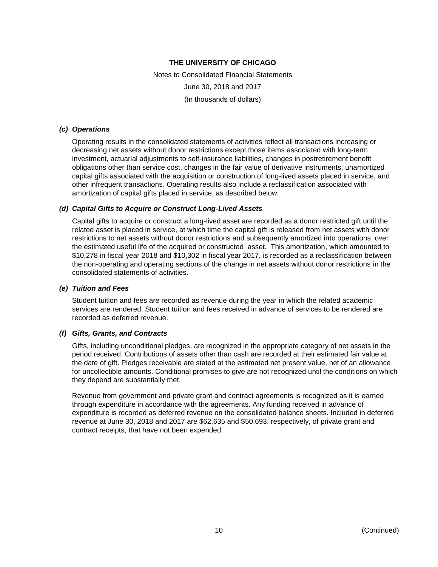Notes to Consolidated Financial Statements June 30, 2018 and 2017 (In thousands of dollars)

#### *(c) Operations*

Operating results in the consolidated statements of activities reflect all transactions increasing or decreasing net assets without donor restrictions except those items associated with long-term investment, actuarial adjustments to self-insurance liabilities, changes in postretirement benefit obligations other than service cost, changes in the fair value of derivative instruments, unamortized capital gifts associated with the acquisition or construction of long-lived assets placed in service, and other infrequent transactions. Operating results also include a reclassification associated with amortization of capital gifts placed in service, as described below.

#### *(d) Capital Gifts to Acquire or Construct Long-Lived Assets*

Capital gifts to acquire or construct a long-lived asset are recorded as a donor restricted gift until the related asset is placed in service, at which time the capital gift is released from net assets with donor restrictions to net assets without donor restrictions and subsequently amortized into operations over the estimated useful life of the acquired or constructed asset. This amortization, which amounted to \$10,278 in fiscal year 2018 and \$10,302 in fiscal year 2017, is recorded as a reclassification between the non-operating and operating sections of the change in net assets without donor restrictions in the consolidated statements of activities.

#### *(e) Tuition and Fees*

Student tuition and fees are recorded as revenue during the year in which the related academic services are rendered. Student tuition and fees received in advance of services to be rendered are recorded as deferred revenue.

#### *(f) Gifts, Grants, and Contracts*

Gifts, including unconditional pledges, are recognized in the appropriate category of net assets in the period received. Contributions of assets other than cash are recorded at their estimated fair value at the date of gift. Pledges receivable are stated at the estimated net present value, net of an allowance for uncollectible amounts. Conditional promises to give are not recognized until the conditions on which they depend are substantially met.

Revenue from government and private grant and contract agreements is recognized as it is earned through expenditure in accordance with the agreements. Any funding received in advance of expenditure is recorded as deferred revenue on the consolidated balance sheets. Included in deferred revenue at June 30, 2018 and 2017 are \$62,635 and \$50,693, respectively, of private grant and contract receipts, that have not been expended.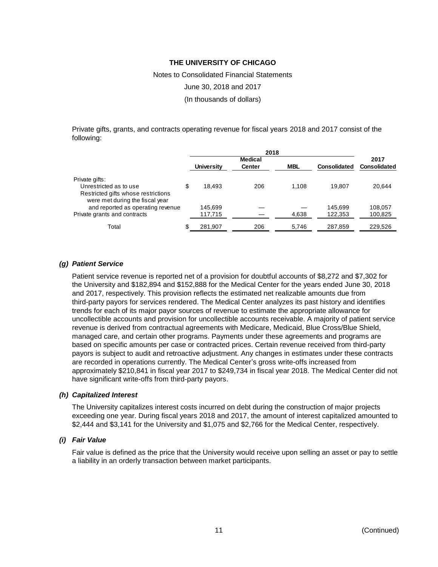Notes to Consolidated Financial Statements

June 30, 2018 and 2017

(In thousands of dollars)

Private gifts, grants, and contracts operating revenue for fiscal years 2018 and 2017 consist of the following:

|                                                                        | <b>Medical</b> |               |            | 2017         |              |
|------------------------------------------------------------------------|----------------|---------------|------------|--------------|--------------|
|                                                                        | Universitv     | <b>Center</b> | <b>MBL</b> | Consolidated | Consolidated |
| Private gifts:                                                         |                |               |            |              |              |
| Unrestricted as to use                                                 | \$<br>18.493   | 206           | 1.108      | 19.807       | 20.644       |
| Restricted gifts whose restrictions<br>were met during the fiscal year |                |               |            |              |              |
| and reported as operating revenue                                      | 145.699        |               |            | 145.699      | 108.057      |
| Private grants and contracts                                           | 117,715        |               | 4,638      | 122,353      | 100,825      |
| Total                                                                  | \$<br>281,907  | 206           | 5.746      | 287,859      | 229.526      |

#### *(g) Patient Service*

Patient service revenue is reported net of a provision for doubtful accounts of \$8,272 and \$7,302 for the University and \$182,894 and \$152,888 for the Medical Center for the years ended June 30, 2018 and 2017, respectively. This provision reflects the estimated net realizable amounts due from third-party payors for services rendered. The Medical Center analyzes its past history and identifies trends for each of its major payor sources of revenue to estimate the appropriate allowance for uncollectible accounts and provision for uncollectible accounts receivable. A majority of patient service revenue is derived from contractual agreements with Medicare, Medicaid, Blue Cross/Blue Shield, managed care, and certain other programs. Payments under these agreements and programs are based on specific amounts per case or contracted prices. Certain revenue received from third-party payors is subject to audit and retroactive adjustment. Any changes in estimates under these contracts are recorded in operations currently. The Medical Center's gross write-offs increased from approximately \$210,841 in fiscal year 2017 to \$249,734 in fiscal year 2018. The Medical Center did not have significant write-offs from third-party payors.

#### *(h) Capitalized Interest*

The University capitalizes interest costs incurred on debt during the construction of major projects exceeding one year. During fiscal years 2018 and 2017, the amount of interest capitalized amounted to \$2,444 and \$3,141 for the University and \$1,075 and \$2,766 for the Medical Center, respectively.

#### *(i) Fair Value*

Fair value is defined as the price that the University would receive upon selling an asset or pay to settle a liability in an orderly transaction between market participants.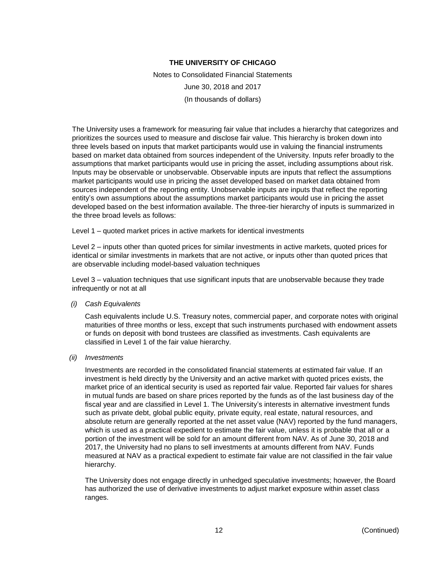Notes to Consolidated Financial Statements June 30, 2018 and 2017 (In thousands of dollars)

The University uses a framework for measuring fair value that includes a hierarchy that categorizes and prioritizes the sources used to measure and disclose fair value. This hierarchy is broken down into three levels based on inputs that market participants would use in valuing the financial instruments based on market data obtained from sources independent of the University. Inputs refer broadly to the assumptions that market participants would use in pricing the asset, including assumptions about risk. Inputs may be observable or unobservable. Observable inputs are inputs that reflect the assumptions market participants would use in pricing the asset developed based on market data obtained from sources independent of the reporting entity. Unobservable inputs are inputs that reflect the reporting entity's own assumptions about the assumptions market participants would use in pricing the asset developed based on the best information available. The three-tier hierarchy of inputs is summarized in the three broad levels as follows:

Level 1 – quoted market prices in active markets for identical investments

Level 2 – inputs other than quoted prices for similar investments in active markets, quoted prices for identical or similar investments in markets that are not active, or inputs other than quoted prices that are observable including model-based valuation techniques

Level 3 – valuation techniques that use significant inputs that are unobservable because they trade infrequently or not at all

*(i) Cash Equivalents*

Cash equivalents include U.S. Treasury notes, commercial paper, and corporate notes with original maturities of three months or less, except that such instruments purchased with endowment assets or funds on deposit with bond trustees are classified as investments. Cash equivalents are classified in Level 1 of the fair value hierarchy.

*(ii) Investments*

Investments are recorded in the consolidated financial statements at estimated fair value. If an investment is held directly by the University and an active market with quoted prices exists, the market price of an identical security is used as reported fair value. Reported fair values for shares in mutual funds are based on share prices reported by the funds as of the last business day of the fiscal year and are classified in Level 1. The University's interests in alternative investment funds such as private debt, global public equity, private equity, real estate, natural resources, and absolute return are generally reported at the net asset value (NAV) reported by the fund managers, which is used as a practical expedient to estimate the fair value, unless it is probable that all or a portion of the investment will be sold for an amount different from NAV. As of June 30, 2018 and 2017, the University had no plans to sell investments at amounts different from NAV. Funds measured at NAV as a practical expedient to estimate fair value are not classified in the fair value hierarchy.

The University does not engage directly in unhedged speculative investments; however, the Board has authorized the use of derivative investments to adjust market exposure within asset class ranges.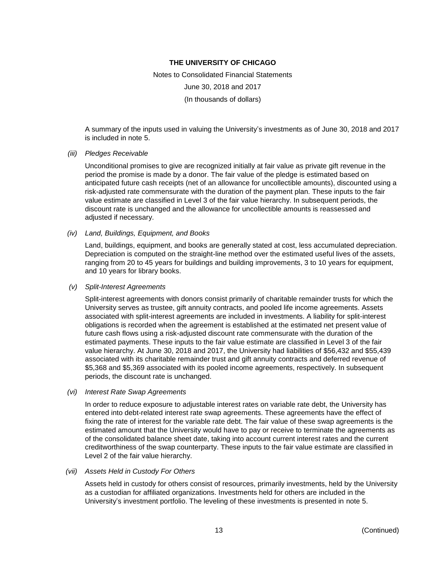Notes to Consolidated Financial Statements June 30, 2018 and 2017 (In thousands of dollars)

A summary of the inputs used in valuing the University's investments as of June 30, 2018 and 2017 is included in note 5.

#### *(iii) Pledges Receivable*

Unconditional promises to give are recognized initially at fair value as private gift revenue in the period the promise is made by a donor. The fair value of the pledge is estimated based on anticipated future cash receipts (net of an allowance for uncollectible amounts), discounted using a risk-adjusted rate commensurate with the duration of the payment plan. These inputs to the fair value estimate are classified in Level 3 of the fair value hierarchy. In subsequent periods, the discount rate is unchanged and the allowance for uncollectible amounts is reassessed and adjusted if necessary.

*(iv) Land, Buildings, Equipment, and Books*

Land, buildings, equipment, and books are generally stated at cost, less accumulated depreciation. Depreciation is computed on the straight-line method over the estimated useful lives of the assets, ranging from 20 to 45 years for buildings and building improvements, 3 to 10 years for equipment, and 10 years for library books.

#### *(v) Split-Interest Agreements*

Split-interest agreements with donors consist primarily of charitable remainder trusts for which the University serves as trustee, gift annuity contracts, and pooled life income agreements. Assets associated with split-interest agreements are included in investments. A liability for split-interest obligations is recorded when the agreement is established at the estimated net present value of future cash flows using a risk-adjusted discount rate commensurate with the duration of the estimated payments. These inputs to the fair value estimate are classified in Level 3 of the fair value hierarchy. At June 30, 2018 and 2017, the University had liabilities of \$56,432 and \$55,439 associated with its charitable remainder trust and gift annuity contracts and deferred revenue of \$5,368 and \$5,369 associated with its pooled income agreements, respectively. In subsequent periods, the discount rate is unchanged.

*(vi) Interest Rate Swap Agreements*

In order to reduce exposure to adjustable interest rates on variable rate debt, the University has entered into debt-related interest rate swap agreements. These agreements have the effect of fixing the rate of interest for the variable rate debt. The fair value of these swap agreements is the estimated amount that the University would have to pay or receive to terminate the agreements as of the consolidated balance sheet date, taking into account current interest rates and the current creditworthiness of the swap counterparty. These inputs to the fair value estimate are classified in Level 2 of the fair value hierarchy.

#### *(vii) Assets Held in Custody For Others*

Assets held in custody for others consist of resources, primarily investments, held by the University as a custodian for affiliated organizations. Investments held for others are included in the University's investment portfolio. The leveling of these investments is presented in note 5.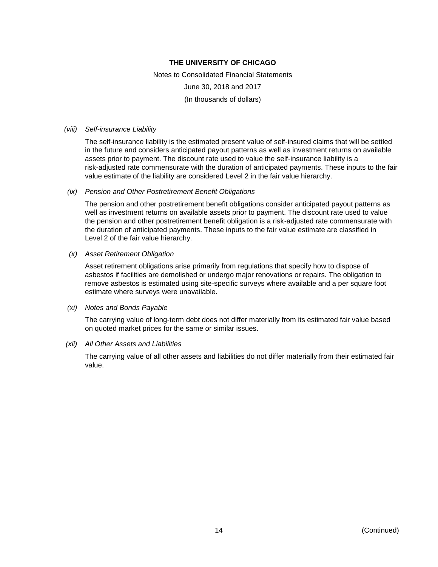Notes to Consolidated Financial Statements June 30, 2018 and 2017 (In thousands of dollars)

#### *(viii) Self-insurance Liability*

The self-insurance liability is the estimated present value of self-insured claims that will be settled in the future and considers anticipated payout patterns as well as investment returns on available assets prior to payment. The discount rate used to value the self-insurance liability is a risk-adjusted rate commensurate with the duration of anticipated payments. These inputs to the fair value estimate of the liability are considered Level 2 in the fair value hierarchy.

#### *(ix) Pension and Other Postretirement Benefit Obligations*

The pension and other postretirement benefit obligations consider anticipated payout patterns as well as investment returns on available assets prior to payment. The discount rate used to value the pension and other postretirement benefit obligation is a risk-adjusted rate commensurate with the duration of anticipated payments. These inputs to the fair value estimate are classified in Level 2 of the fair value hierarchy.

#### *(x) Asset Retirement Obligation*

Asset retirement obligations arise primarily from regulations that specify how to dispose of asbestos if facilities are demolished or undergo major renovations or repairs. The obligation to remove asbestos is estimated using site-specific surveys where available and a per square foot estimate where surveys were unavailable.

#### *(xi) Notes and Bonds Payable*

The carrying value of long-term debt does not differ materially from its estimated fair value based on quoted market prices for the same or similar issues.

#### *(xii) All Other Assets and Liabilities*

The carrying value of all other assets and liabilities do not differ materially from their estimated fair value.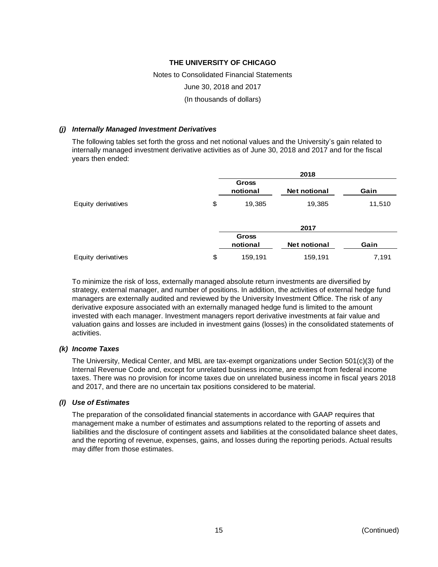# Notes to Consolidated Financial Statements June 30, 2018 and 2017 (In thousands of dollars)

#### *(j) Internally Managed Investment Derivatives*

The following tables set forth the gross and net notional values and the University's gain related to internally managed investment derivative activities as of June 30, 2018 and 2017 and for the fiscal years then ended:

|                    |                          | 2018                |        |
|--------------------|--------------------------|---------------------|--------|
|                    | <b>Gross</b><br>notional | <b>Net notional</b> | Gain   |
| Equity derivatives | \$<br>19,385             | 19,385              | 11,510 |
|                    |                          | 2017                |        |
|                    | <b>Gross</b><br>notional | <b>Net notional</b> | Gain   |
| Equity derivatives | \$<br>159,191            | 159,191             | 7,191  |

To minimize the risk of loss, externally managed absolute return investments are diversified by strategy, external manager, and number of positions. In addition, the activities of external hedge fund managers are externally audited and reviewed by the University Investment Office. The risk of any derivative exposure associated with an externally managed hedge fund is limited to the amount invested with each manager. Investment managers report derivative investments at fair value and valuation gains and losses are included in investment gains (losses) in the consolidated statements of activities.

#### *(k) Income Taxes*

The University, Medical Center, and MBL are tax-exempt organizations under Section 501(c)(3) of the Internal Revenue Code and, except for unrelated business income, are exempt from federal income taxes. There was no provision for income taxes due on unrelated business income in fiscal years 2018 and 2017, and there are no uncertain tax positions considered to be material.

#### *(l) Use of Estimates*

The preparation of the consolidated financial statements in accordance with GAAP requires that management make a number of estimates and assumptions related to the reporting of assets and liabilities and the disclosure of contingent assets and liabilities at the consolidated balance sheet dates, and the reporting of revenue, expenses, gains, and losses during the reporting periods. Actual results may differ from those estimates.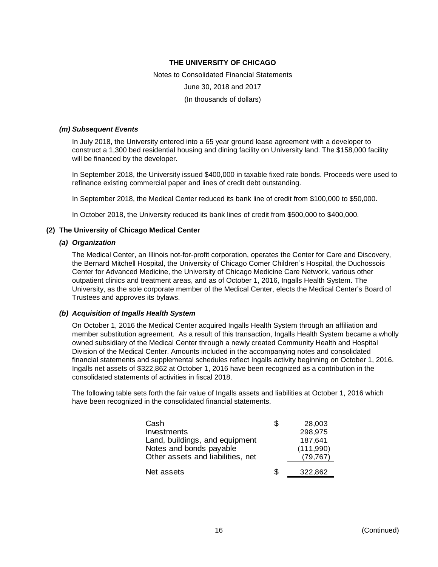Notes to Consolidated Financial Statements June 30, 2018 and 2017 (In thousands of dollars)

#### *(m) Subsequent Events*

In July 2018, the University entered into a 65 year ground lease agreement with a developer to construct a 1,300 bed residential housing and dining facility on University land. The \$158,000 facility will be financed by the developer.

In September 2018, the University issued \$400,000 in taxable fixed rate bonds. Proceeds were used to refinance existing commercial paper and lines of credit debt outstanding.

In September 2018, the Medical Center reduced its bank line of credit from \$100,000 to \$50,000.

In October 2018, the University reduced its bank lines of credit from \$500,000 to \$400,000.

#### **(2) The University of Chicago Medical Center**

#### *(a) Organization*

The Medical Center, an Illinois not-for-profit corporation, operates the Center for Care and Discovery, the Bernard Mitchell Hospital, the University of Chicago Comer Children's Hospital, the Duchossois Center for Advanced Medicine, the University of Chicago Medicine Care Network, various other outpatient clinics and treatment areas, and as of October 1, 2016, Ingalls Health System. The University, as the sole corporate member of the Medical Center, elects the Medical Center's Board of Trustees and approves its bylaws.

#### *(b) Acquisition of Ingalls Health System*

On October 1, 2016 the Medical Center acquired Ingalls Health System through an affiliation and member substitution agreement. As a result of this transaction, Ingalls Health System became a wholly owned subsidiary of the Medical Center through a newly created Community Health and Hospital Division of the Medical Center. Amounts included in the accompanying notes and consolidated financial statements and supplemental schedules reflect Ingalls activity beginning on October 1, 2016. Ingalls net assets of \$322,862 at October 1, 2016 have been recognized as a contribution in the consolidated statements of activities in fiscal 2018.

The following table sets forth the fair value of Ingalls assets and liabilities at October 1, 2016 which have been recognized in the consolidated financial statements.

| Cash                              | S  | 28,003    |
|-----------------------------------|----|-----------|
| Investments                       |    | 298,975   |
| Land, buildings, and equipment    |    | 187,641   |
| Notes and bonds payable           |    | (111,990) |
| Other assets and liabilities, net |    | (79, 767) |
|                                   |    |           |
| Net assets                        | \$ | 322,862   |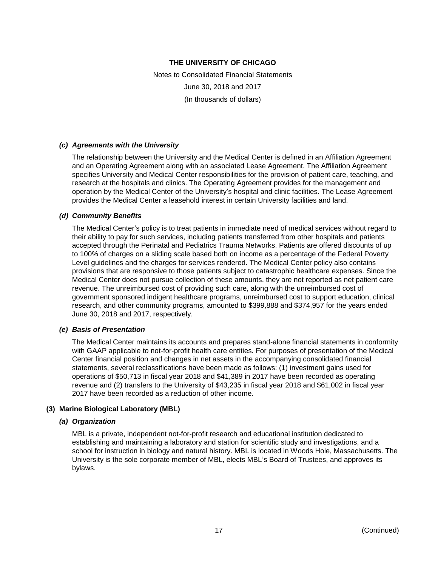Notes to Consolidated Financial Statements June 30, 2018 and 2017 (In thousands of dollars)

#### *(c) Agreements with the University*

The relationship between the University and the Medical Center is defined in an Affiliation Agreement and an Operating Agreement along with an associated Lease Agreement. The Affiliation Agreement specifies University and Medical Center responsibilities for the provision of patient care, teaching, and research at the hospitals and clinics. The Operating Agreement provides for the management and operation by the Medical Center of the University's hospital and clinic facilities. The Lease Agreement provides the Medical Center a leasehold interest in certain University facilities and land.

#### *(d) Community Benefits*

The Medical Center's policy is to treat patients in immediate need of medical services without regard to their ability to pay for such services, including patients transferred from other hospitals and patients accepted through the Perinatal and Pediatrics Trauma Networks. Patients are offered discounts of up to 100% of charges on a sliding scale based both on income as a percentage of the Federal Poverty Level guidelines and the charges for services rendered. The Medical Center policy also contains provisions that are responsive to those patients subject to catastrophic healthcare expenses. Since the Medical Center does not pursue collection of these amounts, they are not reported as net patient care revenue. The unreimbursed cost of providing such care, along with the unreimbursed cost of government sponsored indigent healthcare programs, unreimbursed cost to support education, clinical research, and other community programs, amounted to \$399,888 and \$374,957 for the years ended June 30, 2018 and 2017, respectively.

#### *(e) Basis of Presentation*

The Medical Center maintains its accounts and prepares stand-alone financial statements in conformity with GAAP applicable to not-for-profit health care entities. For purposes of presentation of the Medical Center financial position and changes in net assets in the accompanying consolidated financial statements, several reclassifications have been made as follows: (1) investment gains used for operations of \$50,713 in fiscal year 2018 and \$41,389 in 2017 have been recorded as operating revenue and (2) transfers to the University of \$43,235 in fiscal year 2018 and \$61,002 in fiscal year 2017 have been recorded as a reduction of other income.

#### **(3) Marine Biological Laboratory (MBL)**

#### *(a) Organization*

MBL is a private, independent not-for-profit research and educational institution dedicated to establishing and maintaining a laboratory and station for scientific study and investigations, and a school for instruction in biology and natural history. MBL is located in Woods Hole, Massachusetts. The University is the sole corporate member of MBL, elects MBL's Board of Trustees, and approves its bylaws.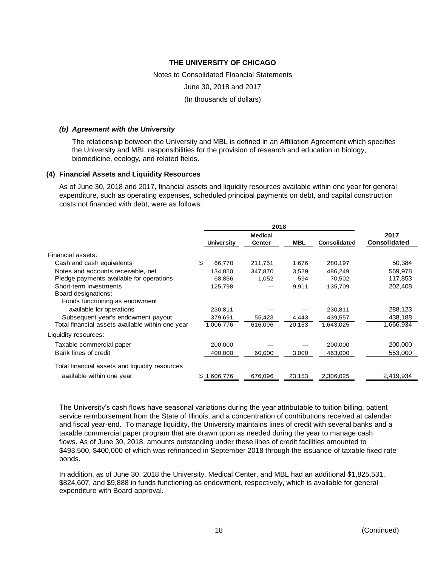Notes to Consolidated Financial Statements June 30, 2018 and 2017 (In thousands of dollars)

#### *(b) Agreement with the University*

The relationship between the University and MBL is defined in an Affiliation Agreement which specifies the University and MBL responsibilities for the provision of research and education in biology, biomedicine, ecology, and related fields.

#### **(4) Financial Assets and Liquidity Resources**

As of June 30, 2018 and 2017, financial assets and liquidity resources available within one year for general expenditure, such as operating expenses, scheduled principal payments on debt, and capital construction costs not financed with debt, were as follows:

|                                                  | 2018 |                   |                                 |            |                     |                             |
|--------------------------------------------------|------|-------------------|---------------------------------|------------|---------------------|-----------------------------|
|                                                  |      | <b>University</b> | <b>Medical</b><br><b>Center</b> | <b>MBL</b> | <b>Consolidated</b> | 2017<br><b>Consolidated</b> |
| Financial assets:                                |      |                   |                                 |            |                     |                             |
| Cash and cash equivalents                        | \$.  | 66,770            | 211,751                         | 1,676      | 280,197             | 50,384                      |
| Notes and accounts receivable, net               |      | 134,850           | 347,870                         | 3,529      | 486,249             | 569,978                     |
| Pledge payments available for operations         |      | 68,856            | 1,052                           | 594        | 70,502              | 117,853                     |
| Short-term investments                           |      | 125,798           |                                 | 9,911      | 135,709             | 202,408                     |
| Board designations:                              |      |                   |                                 |            |                     |                             |
| Funds functioning as endowment                   |      |                   |                                 |            |                     |                             |
| available for operations                         |      | 230,811           |                                 |            | 230,811             | 288,123                     |
| Subsequent year's endowment payout               |      | 379,691           | 55,423                          | 4,443      | 439,557             | 438,188                     |
| Total financial assets available within one year |      | 1,006,776         | 616,096                         | 20,153     | 1,643,025           | 1,666,934                   |
| Liquidity resources:                             |      |                   |                                 |            |                     |                             |
| Taxable commercial paper                         |      | 200,000           |                                 |            | 200,000             | 200,000                     |
| Bank lines of credit                             |      | 400,000           | 60,000                          | 3,000      | 463,000             | 553,000                     |
| Total financial assets and liquidity resources   |      |                   |                                 |            |                     |                             |
| available within one year                        |      | .606,776          | 676,096                         | 23,153     | 2,306,025           | 2,419,934                   |

The University's cash flows have seasonal variations during the year attributable to tuition billing, patient service reimbursement from the State of Illinois, and a concentration of contributions received at calendar and fiscal year-end. To manage liquidity, the University maintains lines of credit with several banks and a taxable commercial paper program that are drawn upon as needed during the year to manage cash flows. As of June 30, 2018, amounts outstanding under these lines of credit facilities amounted to \$493,500, \$400,000 of which was refinanced in September 2018 through the issuance of taxable fixed rate bonds.

In addition, as of June 30, 2018 the University, Medical Center, and MBL had an additional \$1,825,531, \$824,607, and \$9,888 in funds functioning as endowment, respectively, which is available for general expenditure with Board approval.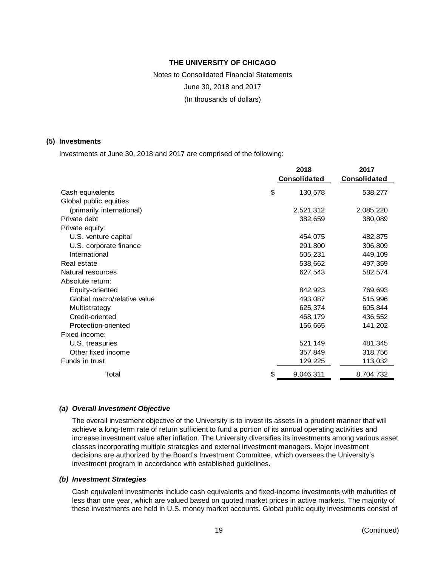Notes to Consolidated Financial Statements June 30, 2018 and 2017 (In thousands of dollars)

#### **(5) Investments**

Investments at June 30, 2018 and 2017 are comprised of the following:

|                             |    | 2017         |              |
|-----------------------------|----|--------------|--------------|
|                             |    | Consolidated | Consolidated |
| Cash equivalents            | \$ | 130,578      | 538,277      |
| Global public equities      |    |              |              |
| (primarily international)   |    | 2,521,312    | 2,085,220    |
| Private debt                |    | 382,659      | 380,089      |
| Private equity:             |    |              |              |
| U.S. venture capital        |    | 454,075      | 482,875      |
| U.S. corporate finance      |    | 291,800      | 306,809      |
| International               |    | 505,231      | 449,109      |
| Real estate                 |    | 538,662      | 497,359      |
| Natural resources           |    | 627,543      | 582,574      |
| Absolute return:            |    |              |              |
| Equity-oriented             |    | 842,923      | 769,693      |
| Global macro/relative value |    | 493,087      | 515,996      |
| Multistrategy               |    | 625,374      | 605,844      |
| Credit-oriented             |    | 468,179      | 436,552      |
| Protection-oriented         |    | 156,665      | 141,202      |
| Fixed income:               |    |              |              |
| U.S. treasuries             |    | 521,149      | 481,345      |
| Other fixed income          |    | 357,849      | 318,756      |
| Funds in trust              |    | 129,225      | 113,032      |
| Total                       | \$ | 9,046,311    | 8,704,732    |

#### *(a) Overall Investment Objective*

The overall investment objective of the University is to invest its assets in a prudent manner that will achieve a long-term rate of return sufficient to fund a portion of its annual operating activities and increase investment value after inflation. The University diversifies its investments among various asset classes incorporating multiple strategies and external investment managers. Major investment decisions are authorized by the Board's Investment Committee, which oversees the University's investment program in accordance with established guidelines.

#### *(b) Investment Strategies*

Cash equivalent investments include cash equivalents and fixed-income investments with maturities of less than one year, which are valued based on quoted market prices in active markets. The majority of these investments are held in U.S. money market accounts. Global public equity investments consist of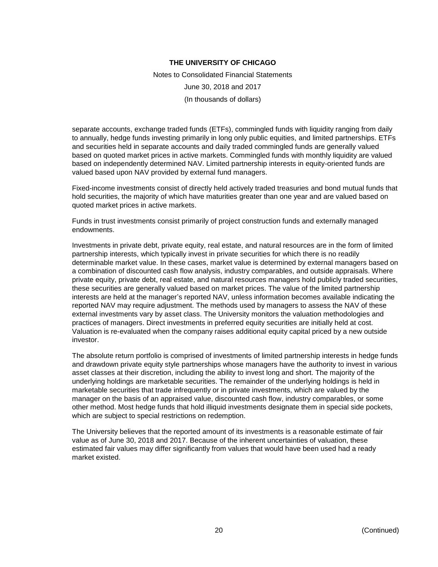Notes to Consolidated Financial Statements June 30, 2018 and 2017 (In thousands of dollars)

separate accounts, exchange traded funds (ETFs), commingled funds with liquidity ranging from daily to annually, hedge funds investing primarily in long only public equities, and limited partnerships. ETFs and securities held in separate accounts and daily traded commingled funds are generally valued based on quoted market prices in active markets. Commingled funds with monthly liquidity are valued based on independently determined NAV. Limited partnership interests in equity-oriented funds are valued based upon NAV provided by external fund managers.

Fixed-income investments consist of directly held actively traded treasuries and bond mutual funds that hold securities, the majority of which have maturities greater than one year and are valued based on quoted market prices in active markets.

Funds in trust investments consist primarily of project construction funds and externally managed endowments.

Investments in private debt, private equity, real estate, and natural resources are in the form of limited partnership interests, which typically invest in private securities for which there is no readily determinable market value. In these cases, market value is determined by external managers based on a combination of discounted cash flow analysis, industry comparables, and outside appraisals. Where private equity, private debt, real estate, and natural resources managers hold publicly traded securities, these securities are generally valued based on market prices. The value of the limited partnership interests are held at the manager's reported NAV, unless information becomes available indicating the reported NAV may require adjustment. The methods used by managers to assess the NAV of these external investments vary by asset class. The University monitors the valuation methodologies and practices of managers. Direct investments in preferred equity securities are initially held at cost. Valuation is re-evaluated when the company raises additional equity capital priced by a new outside investor.

The absolute return portfolio is comprised of investments of limited partnership interests in hedge funds and drawdown private equity style partnerships whose managers have the authority to invest in various asset classes at their discretion, including the ability to invest long and short. The majority of the underlying holdings are marketable securities. The remainder of the underlying holdings is held in marketable securities that trade infrequently or in private investments, which are valued by the manager on the basis of an appraised value, discounted cash flow, industry comparables, or some other method. Most hedge funds that hold illiquid investments designate them in special side pockets, which are subject to special restrictions on redemption.

The University believes that the reported amount of its investments is a reasonable estimate of fair value as of June 30, 2018 and 2017. Because of the inherent uncertainties of valuation, these estimated fair values may differ significantly from values that would have been used had a ready market existed.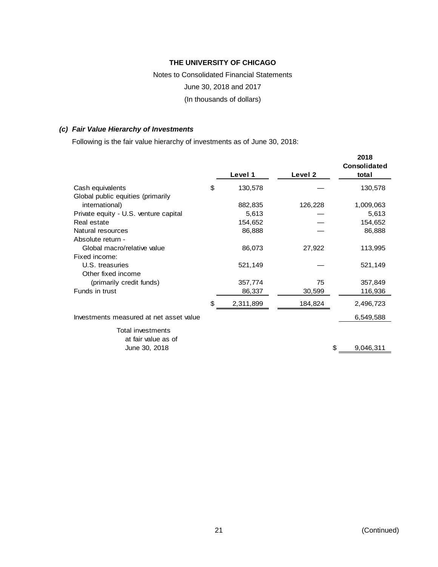# Notes to Consolidated Financial Statements June 30, 2018 and 2017 (In thousands of dollars)

#### *(c) Fair Value Hierarchy of Investments*

Following is the fair value hierarchy of investments as of June 30, 2018:

|                                         |                 |         | 2018<br>Consolidated |
|-----------------------------------------|-----------------|---------|----------------------|
|                                         | Level 1         | Level 2 | total                |
| Cash equivalents                        | \$<br>130,578   |         | 130,578              |
| Global public equities (primarily       |                 |         |                      |
| international)                          | 882,835         | 126,228 | 1,009,063            |
| Private equity - U.S. venture capital   | 5,613           |         | 5,613                |
| Real estate                             | 154,652         |         | 154,652              |
| Natural resources                       | 86,888          |         | 86,888               |
| Absolute return -                       |                 |         |                      |
| Global macro/relative value             | 86,073          | 27,922  | 113,995              |
| Fixed income:                           |                 |         |                      |
| U.S. treasuries                         | 521,149         |         | 521,149              |
| Other fixed income                      |                 |         |                      |
| (primarily credit funds)                | 357,774         | 75      | 357,849              |
| Funds in trust                          | 86,337          | 30,599  | 116,936              |
|                                         | \$<br>2,311,899 | 184,824 | 2,496,723            |
| Investments measured at net asset value |                 |         | 6,549,588            |
| Total investments                       |                 |         |                      |
| at fair value as of                     |                 |         |                      |
| June 30, 2018                           |                 |         | \$<br>9,046,311      |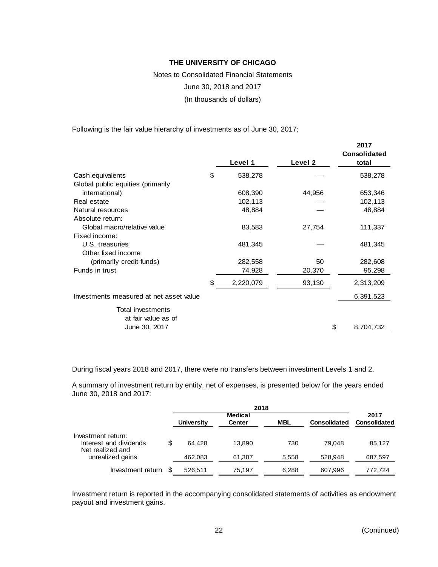Notes to Consolidated Financial Statements June 30, 2018 and 2017 (In thousands of dollars)

Following is the fair value hierarchy of investments as of June 30, 2017:

|                                         |                 |         | 2017<br><b>Consolidated</b> |
|-----------------------------------------|-----------------|---------|-----------------------------|
|                                         | Level 1         | Level 2 | total                       |
| Cash equivalents                        | \$<br>538,278   |         | 538,278                     |
| Global public equities (primarily       |                 |         |                             |
| international)                          | 608,390         | 44,956  | 653,346                     |
| Real estate                             | 102,113         |         | 102,113                     |
| Natural resources                       | 48,884          |         | 48,884                      |
| Absolute return:                        |                 |         |                             |
| Global macro/relative value             | 83,583          | 27,754  | 111,337                     |
| Fixed income:                           |                 |         |                             |
| U.S. treasuries                         | 481,345         |         | 481,345                     |
| Other fixed income                      |                 |         |                             |
| (primarily credit funds)                | 282,558         | 50      | 282,608                     |
| Funds in trust                          | 74,928          | 20,370  | 95,298                      |
|                                         | \$<br>2,220,079 | 93,130  | 2,313,209                   |
| Investments measured at net asset value |                 |         | 6,391,523                   |
| Total investments                       |                 |         |                             |
| at fair value as of                     |                 |         |                             |
| June 30, 2017                           |                 |         | 8,704,732                   |

During fiscal years 2018 and 2017, there were no transfers between investment Levels 1 and 2.

A summary of investment return by entity, net of expenses, is presented below for the years ended June 30, 2018 and 2017:

|                                                                  | <b>University</b> | Medical<br><b>Center</b> | <b>MBL</b> | <b>Consolidated</b> | 2017<br><b>Consolidated</b> |
|------------------------------------------------------------------|-------------------|--------------------------|------------|---------------------|-----------------------------|
| Investment return:<br>Interest and dividends<br>Net realized and | \$<br>64.428      | 13.890                   | 730        | 79.048              | 85.127                      |
| unrealized gains                                                 | 462,083           | 61,307                   | 5,558      | 528.948             | 687,597                     |
| Investment return                                                | 526,511           | 75.197                   | 6,288      | 607,996             | 772.724                     |

Investment return is reported in the accompanying consolidated statements of activities as endowment payout and investment gains.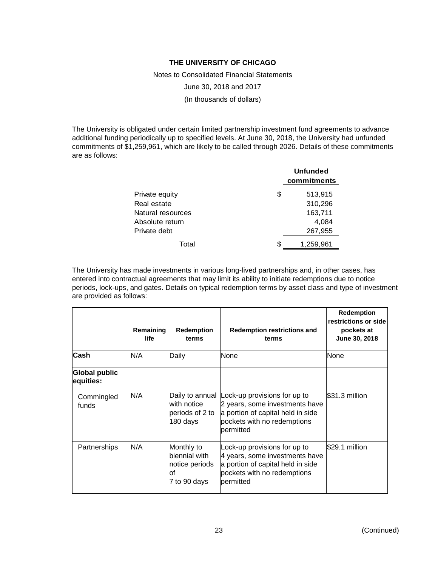Notes to Consolidated Financial Statements

June 30, 2018 and 2017

(In thousands of dollars)

The University is obligated under certain limited partnership investment fund agreements to advance additional funding periodically up to specified levels. At June 30, 2018, the University had unfunded commitments of \$1,259,961, which are likely to be called through 2026. Details of these commitments are as follows:

|                   | <b>Unfunded</b><br>commitments |
|-------------------|--------------------------------|
| Private equity    | \$<br>513,915                  |
| Real estate       | 310,296                        |
| Natural resources | 163,711                        |
| Absolute return   | 4,084                          |
| Private debt      | 267,955                        |
| Total             | \$<br>1,259,961                |

The University has made investments in various long-lived partnerships and, in other cases, has entered into contractual agreements that may limit its ability to initiate redemptions due to notice periods, lock-ups, and gates. Details on typical redemption terms by asset class and type of investment are provided as follows:

|                                   | Remaining<br>life | <b>Redemption</b><br>terms                                           | <b>Redemption restrictions and</b><br>terms                                                                                                     | <b>Redemption</b><br>restrictions or side<br>pockets at<br>June 30, 2018 |
|-----------------------------------|-------------------|----------------------------------------------------------------------|-------------------------------------------------------------------------------------------------------------------------------------------------|--------------------------------------------------------------------------|
| Cash                              | N/A               | Daily                                                                | None                                                                                                                                            | None                                                                     |
| <b>Global public</b><br>equities: |                   |                                                                      |                                                                                                                                                 |                                                                          |
| Commingled<br>funds               | N/A               | Daily to annual<br>lwith notice<br>periods of 2 to<br> 180 days      | Lock-up provisions for up to<br>2 years, some investments have<br>a portion of capital held in side<br>pockets with no redemptions<br>permitted | S31.3 million                                                            |
| Partnerships                      | N/A               | Monthly to<br>biennial with<br>notice periods<br>lof<br>7 to 90 days | Lock-up provisions for up to<br>4 years, some investments have<br>a portion of capital held in side<br>pockets with no redemptions<br>bermitted | \$29.1 million                                                           |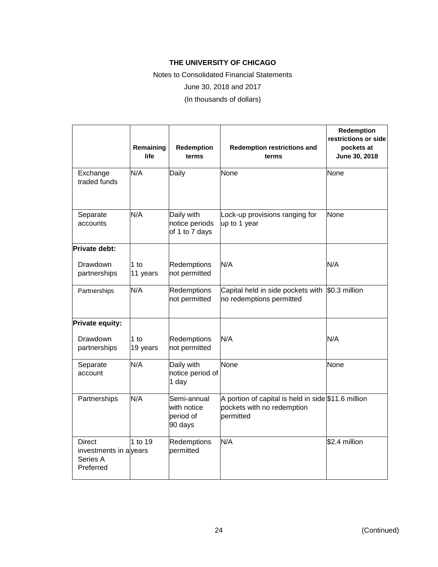Notes to Consolidated Financial Statements

June 30, 2018 and 2017

(In thousands of dollars)

|                                                                  | Remaining<br>life  | Redemption<br>terms                                | <b>Redemption restrictions and</b><br>terms                                                     | Redemption<br>restrictions or side<br>pockets at<br>June 30, 2018 |
|------------------------------------------------------------------|--------------------|----------------------------------------------------|-------------------------------------------------------------------------------------------------|-------------------------------------------------------------------|
| Exchange<br>traded funds                                         | N/A                | Daily                                              | None                                                                                            | None                                                              |
| Separate<br>accounts                                             | N/A                | Daily with<br>notice periods<br>of 1 to 7 days     | Lock-up provisions ranging for<br>up to 1 year                                                  | None                                                              |
| <b>Private debt:</b>                                             |                    |                                                    |                                                                                                 |                                                                   |
| Drawdown<br>partnerships                                         | $1$ to<br>11 years | <b>Redemptions</b><br>not permitted                | N/A                                                                                             | N/A                                                               |
| Partnerships                                                     | N/A                | Redemptions<br>not permitted                       | Capital held in side pockets with<br>no redemptions permitted                                   | \$0.3 million                                                     |
| Private equity:                                                  |                    |                                                    |                                                                                                 |                                                                   |
| Drawdown<br>partnerships                                         | 1 to<br>19 years   | Redemptions<br>not permitted                       | N/A                                                                                             | N/A                                                               |
| Separate<br>account                                              | N/A                | Daily with<br>notice period of<br>1 day            | None                                                                                            | None                                                              |
| Partnerships                                                     | N/A                | Semi-annual<br>with notice<br>period of<br>90 days | A portion of capital is held in side $$11.6$ million<br>pockets with no redemption<br>permitted |                                                                   |
| <b>Direct</b><br>investments in alyears<br>Series A<br>Preferred | 1 to 19            | Redemptions<br>permitted                           | N/A                                                                                             | \$2.4 million                                                     |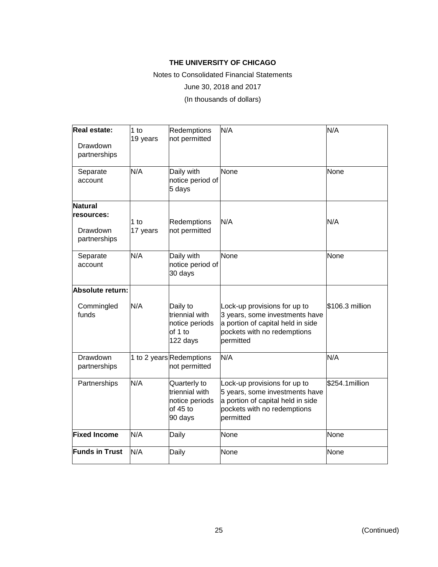Notes to Consolidated Financial Statements

June 30, 2018 and 2017

(In thousands of dollars)

| <b>Real estate:</b><br><b>Drawdown</b><br>partnerships | 1 <sub>to</sub><br>19 years | Redemptions<br>not permitted                                              | N/A                                                                                                                                             | N/A             |
|--------------------------------------------------------|-----------------------------|---------------------------------------------------------------------------|-------------------------------------------------------------------------------------------------------------------------------------------------|-----------------|
| Separate<br>account                                    | N/A                         | Daily with<br>notice period of<br>5 days                                  | None                                                                                                                                            | None            |
| <b>Natural</b>                                         |                             |                                                                           |                                                                                                                                                 |                 |
| <b>resources:</b>                                      | 1 to                        | <b>Redemptions</b>                                                        | N/A                                                                                                                                             | N/A             |
| Drawdown<br>partnerships                               | 17 years                    | not permitted                                                             |                                                                                                                                                 |                 |
| Separate<br>account                                    | N/A                         | Daily with<br>notice period of<br>30 days                                 | None                                                                                                                                            | None            |
| Absolute return:                                       |                             |                                                                           |                                                                                                                                                 |                 |
| Commingled<br>funds                                    | N/A                         | Daily to<br>triennial with<br>notice periods<br>of 1 to<br>122 days       | Lock-up provisions for up to<br>3 years, some investments have<br>a portion of capital held in side<br>pockets with no redemptions<br>permitted | \$106.3 million |
| Drawdown<br>partnerships                               |                             | 1 to 2 years Redemptions<br>not permitted                                 | N/A                                                                                                                                             | N/A             |
| Partnerships                                           | N/A                         | Quarterly to<br>triennial with<br>notice periods<br>of $45$ to<br>90 days | Lock-up provisions for up to<br>5 years, some investments have<br>a portion of capital held in side<br>pockets with no redemptions<br>permitted | \$254.1 million |
| <b>Fixed Income</b>                                    | N/A                         | Daily                                                                     | None                                                                                                                                            | None            |
| <b>Funds in Trust</b>                                  | N/A                         | Daily                                                                     | None                                                                                                                                            | None            |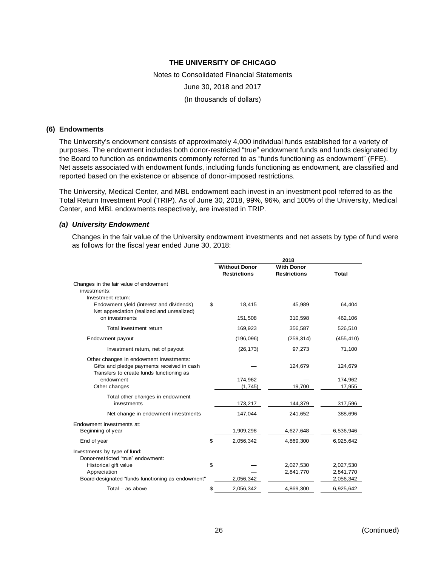Notes to Consolidated Financial Statements June 30, 2018 and 2017 (In thousands of dollars)

#### **(6) Endowments**

The University's endowment consists of approximately 4,000 individual funds established for a variety of purposes. The endowment includes both donor-restricted "true" endowment funds and funds designated by the Board to function as endowments commonly referred to as "funds functioning as endowment" (FFE). Net assets associated with endowment funds, including funds functioning as endowment, are classified and reported based on the existence or absence of donor-imposed restrictions.

The University, Medical Center, and MBL endowment each invest in an investment pool referred to as the Total Return Investment Pool (TRIP). As of June 30, 2018, 99%, 96%, and 100% of the University, Medical Center, and MBL endowments respectively, are invested in TRIP.

#### *(a) University Endowment*

Changes in the fair value of the University endowment investments and net assets by type of fund were as follows for the fiscal year ended June 30, 2018:

|                                                                                                                                   | 2018                 |                     |           |  |
|-----------------------------------------------------------------------------------------------------------------------------------|----------------------|---------------------|-----------|--|
|                                                                                                                                   | <b>Without Donor</b> | <b>With Donor</b>   |           |  |
|                                                                                                                                   | <b>Restrictions</b>  | <b>Restrictions</b> | Total     |  |
| Changes in the fair value of endowment<br>investments:                                                                            |                      |                     |           |  |
| Investment return:                                                                                                                |                      |                     |           |  |
| Endowment yield (interest and dividends)<br>Net appreciation (realized and unrealized)                                            | \$<br>18,415         | 45,989              | 64,404    |  |
| on investments                                                                                                                    | 151,508              | 310,598             | 462,106   |  |
| Total investment return                                                                                                           | 169,923              | 356,587             | 526,510   |  |
| Endowment payout                                                                                                                  | (196, 096)           | (259, 314)          | (455,410) |  |
| Investment return, net of payout                                                                                                  | (26, 173)            | 97,273              | 71,100    |  |
| Other changes in endowment investments:<br>Gifts and pledge payments received in cash<br>Transfers to create funds functioning as |                      | 124,679             | 124,679   |  |
| endowment                                                                                                                         | 174,962              |                     | 174,962   |  |
| Other changes                                                                                                                     | (1,745)              | 19,700              | 17,955    |  |
| Total other changes in endowment                                                                                                  |                      |                     |           |  |
| investments                                                                                                                       | 173,217              | 144,379             | 317,596   |  |
| Net change in endowment investments                                                                                               | 147,044              | 241,652             | 388,696   |  |
| Endowment investments at:                                                                                                         |                      |                     |           |  |
| Beginning of year                                                                                                                 | 1,909,298            | 4,627,648           | 6,536,946 |  |
| End of year                                                                                                                       | \$<br>2,056,342      | 4,869,300           | 6,925,642 |  |
| Investments by type of fund:<br>Donor-restricted "true" endowment:                                                                |                      |                     |           |  |
| Historical gift value                                                                                                             | \$                   | 2,027,530           | 2,027,530 |  |
| Appreciation                                                                                                                      |                      | 2,841,770           | 2,841,770 |  |
| Board-designated "funds functioning as endowment"                                                                                 | 2,056,342            |                     | 2,056,342 |  |
| Total $-$ as above                                                                                                                | \$<br>2,056,342      | 4,869,300           | 6,925,642 |  |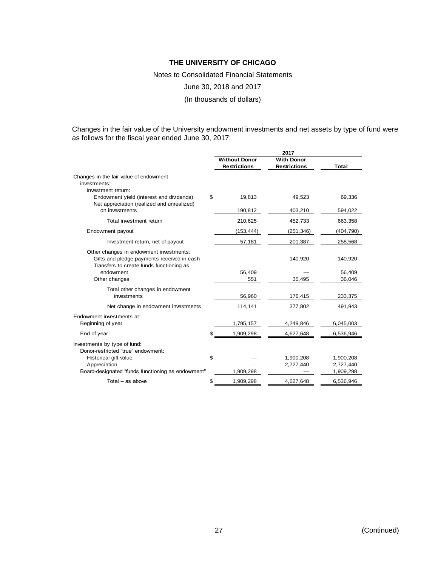Notes to Consolidated Financial Statements

June 30, 2018 and 2017

(In thousands of dollars)

Changes in the fair value of the University endowment investments and net assets by type of fund were as follows for the fiscal year ended June 30, 2017:

|                                                                                                                                   | 2017                                        |                                          |                        |  |
|-----------------------------------------------------------------------------------------------------------------------------------|---------------------------------------------|------------------------------------------|------------------------|--|
|                                                                                                                                   | <b>Without Donor</b><br><b>Restrictions</b> | <b>With Donor</b><br><b>Restrictions</b> | Total                  |  |
| Changes in the fair value of endowment<br>investments:                                                                            |                                             |                                          |                        |  |
| Investment return:<br>Endowment yield (interest and dividends)<br>Net appreciation (realized and unrealized)                      | \$<br>19,813                                | 49,523                                   | 69,336                 |  |
| on investments                                                                                                                    | 190,812                                     | 403,210                                  | 594,022                |  |
| Total investment return                                                                                                           | 210,625                                     | 452,733                                  | 663,358                |  |
| Endowment payout                                                                                                                  | (153, 444)                                  | (251, 346)                               | (404, 790)             |  |
| Investment return, net of payout                                                                                                  | 57,181                                      | 201,387                                  | 258,568                |  |
| Other changes in endowment investments:<br>Gifts and pledge payments received in cash<br>Transfers to create funds functioning as |                                             | 140,920                                  | 140,920                |  |
| endowment                                                                                                                         | 56,409                                      |                                          | 56,409                 |  |
| Other changes                                                                                                                     | 551                                         | 35,495                                   | 36,046                 |  |
| Total other changes in endowment<br>investments                                                                                   | 56,960                                      | 176,415                                  | 233,375                |  |
| Net change in endowment investments                                                                                               | 114,141                                     | 377,802                                  | 491,943                |  |
| Endowment investments at:<br>Beginning of year                                                                                    | 1,795,157                                   | 4,249,846                                | 6,045,003              |  |
| End of year                                                                                                                       | \$<br>1,909,298                             | 4,627,648                                | 6,536,946              |  |
| Investments by type of fund:<br>Donor-restricted "true" endowment:                                                                |                                             |                                          |                        |  |
| Historical gift value                                                                                                             | \$                                          | 1,900,208                                | 1,900,208              |  |
| Appreciation<br>Board-designated "funds functioning as endowment"                                                                 | 1,909,298                                   | 2,727,440                                | 2,727,440<br>1,909,298 |  |
|                                                                                                                                   |                                             |                                          |                        |  |
| Total $-$ as above                                                                                                                | \$<br>1,909,298                             | 4.627.648                                | 6,536,946              |  |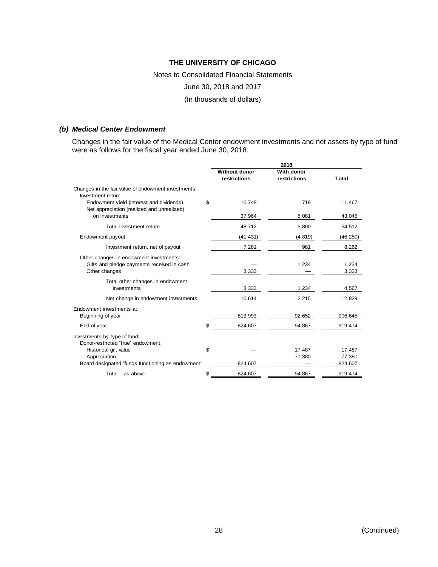#### Notes to Consolidated Financial Statements

June 30, 2018 and 2017

(In thousands of dollars)

#### *(b) Medical Center Endowment*

Changes in the fair value of the Medical Center endowment investments and net assets by type of fund were as follows for the fiscal year ended June 30, 2018:

|                                                                                                        | 2018                 |              |                |  |
|--------------------------------------------------------------------------------------------------------|----------------------|--------------|----------------|--|
|                                                                                                        | <b>Without donor</b> | With donor   |                |  |
|                                                                                                        | restrictions         | restrictions | Total          |  |
| Changes in the fair value of endowment investments:<br>Investment return:                              |                      |              |                |  |
| Endowment yield (interest and dividends)<br>Net appreciation (realized and unrealized)                 | \$<br>10,748         | 719          | 11,467         |  |
| on investments                                                                                         | 37,964               | 5,081        | 43,045         |  |
| Total investment return                                                                                | 48,712               | 5,800        | 54,512         |  |
| Endowment payout                                                                                       | (41, 431)            | (4, 819)     | (46, 250)      |  |
| Investment return, net of payout                                                                       | 7,281                | 981          | 8,262          |  |
| Other changes in endowment investments:<br>Gifts and pledge payments received in cash<br>Other changes | 3,333                | 1.234        | 1.234<br>3,333 |  |
| Total other changes in endowment<br>investments                                                        | 3,333                | 1,234        | 4,567          |  |
| Net change in endowment investments                                                                    | 10,614               | 2,215        | 12,829         |  |
| Endowment investments at:                                                                              |                      |              |                |  |
| Beginning of year                                                                                      | 813,993              | 92,652       | 906,645        |  |
| End of year                                                                                            | \$<br>824,607        | 94,867       | 919,474        |  |
| Investments by type of fund:<br>Donor-restricted "true" endowment:                                     |                      |              |                |  |
| Historical gift value                                                                                  | \$                   | 17,487       | 17,487         |  |
| Appreciation                                                                                           |                      | 77,380       | 77,380         |  |
| Board-designated "funds functioning as endowment"                                                      | 824,607              |              | 824,607        |  |
| Total $-$ as above                                                                                     | \$<br>824,607        | 94,867       | 919,474        |  |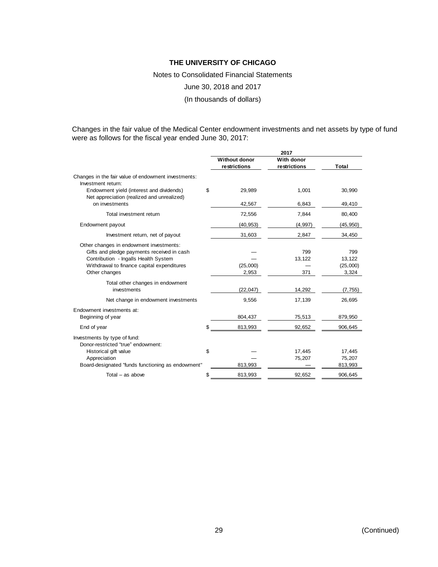Notes to Consolidated Financial Statements

June 30, 2018 and 2017

(In thousands of dollars)

Changes in the fair value of the Medical Center endowment investments and net assets by type of fund were as follows for the fiscal year ended June 30, 2017:

|                                                                                                                                                                                              |                                      | 2017                       |                                    |
|----------------------------------------------------------------------------------------------------------------------------------------------------------------------------------------------|--------------------------------------|----------------------------|------------------------------------|
|                                                                                                                                                                                              | <b>Without donor</b><br>restrictions | With donor<br>restrictions | Total                              |
| Changes in the fair value of endowment investments:<br>Investment return:                                                                                                                    |                                      |                            |                                    |
| Endowment yield (interest and dividends)<br>Net appreciation (realized and unrealized)                                                                                                       | \$<br>29,989                         | 1,001                      | 30,990                             |
| on investments                                                                                                                                                                               | 42,567                               | 6,843                      | 49,410                             |
| Total investment return                                                                                                                                                                      | 72,556                               | 7,844                      | 80,400                             |
| Endowment payout                                                                                                                                                                             | (40, 953)                            | (4, 997)                   | (45, 950)                          |
| Investment return, net of payout                                                                                                                                                             | 31,603                               | 2,847                      | 34,450                             |
| Other changes in endowment investments:<br>Gifts and pledge payments received in cash<br>Contribution - Ingalls Health System<br>Withdrawal to finance capital expenditures<br>Other changes | (25,000)<br>2,953                    | 799<br>13,122<br>371       | 799<br>13,122<br>(25,000)<br>3,324 |
| Total other changes in endowment<br>investments                                                                                                                                              | (22, 047)                            | 14,292                     | (7, 755)                           |
| Net change in endowment investments                                                                                                                                                          | 9,556                                | 17,139                     | 26,695                             |
| Endowment investments at:<br>Beginning of year                                                                                                                                               | 804,437                              | 75,513                     | 879,950                            |
| End of year                                                                                                                                                                                  | \$<br>813,993                        | 92,652                     | 906,645                            |
| Investments by type of fund:<br>Donor-restricted "true" endowment:                                                                                                                           |                                      |                            |                                    |
| Historical gift value                                                                                                                                                                        | \$                                   | 17,445                     | 17,445                             |
| Appreciation<br>Board-designated "funds functioning as endowment"                                                                                                                            | 813,993                              | 75,207                     | 75,207<br>813,993                  |
| Total $-$ as above                                                                                                                                                                           | \$<br>813,993                        | 92,652                     | 906,645                            |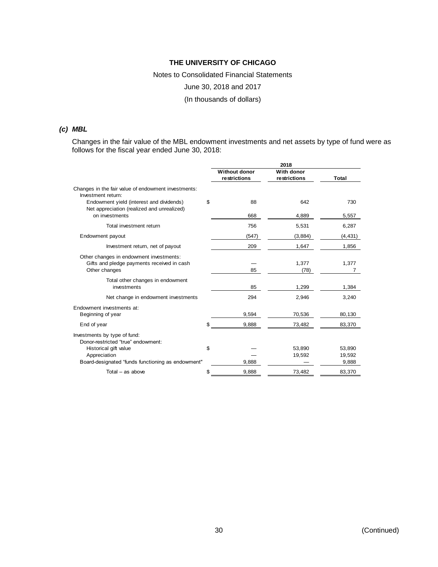Notes to Consolidated Financial Statements June 30, 2018 and 2017 (In thousands of dollars)

#### *(c) MBL*

Changes in the fair value of the MBL endowment investments and net assets by type of fund were as follows for the fiscal year ended June 30, 2018:

|                                                                                        | 2018                                 |                            |            |  |
|----------------------------------------------------------------------------------------|--------------------------------------|----------------------------|------------|--|
|                                                                                        | <b>Without donor</b><br>restrictions | With donor<br>restrictions | Total      |  |
| Changes in the fair value of endowment investments:<br>Investment return:              |                                      |                            |            |  |
| Endowment yield (interest and dividends)<br>Net appreciation (realized and unrealized) | \$<br>88                             | 642                        | 730        |  |
| on investments                                                                         | 668                                  | 4,889                      | 5,557      |  |
| Total investment return                                                                | 756                                  | 5,531                      | 6,287      |  |
| Endowment payout                                                                       | (547)                                | (3,884)                    | (4, 431)   |  |
| Investment return, net of payout                                                       | 209                                  | 1,647                      | 1,856      |  |
| Other changes in endowment investments:                                                |                                      |                            |            |  |
| Gifts and pledge payments received in cash<br>Other changes                            | 85                                   | 1,377<br>(78)              | 1,377<br>7 |  |
| Total other changes in endowment<br>investments                                        | 85                                   | 1,299                      | 1,384      |  |
| Net change in endowment investments                                                    | 294                                  | 2,946                      | 3,240      |  |
| Endowment investments at:                                                              |                                      |                            |            |  |
| Beginning of year                                                                      | 9,594                                | 70,536                     | 80,130     |  |
| End of year                                                                            | 9,888                                | 73,482                     | 83,370     |  |
| Investments by type of fund:<br>Donor-restricted "true" endowment:                     |                                      |                            |            |  |
| Historical gift value                                                                  | \$                                   | 53,890                     | 53,890     |  |
| Appreciation                                                                           |                                      | 19,592                     | 19,592     |  |
| Board-designated "funds functioning as endowment"                                      | 9,888                                |                            | 9,888      |  |
| Total - as above                                                                       | \$<br>9.888                          | 73.482                     | 83.370     |  |

30 (Continued)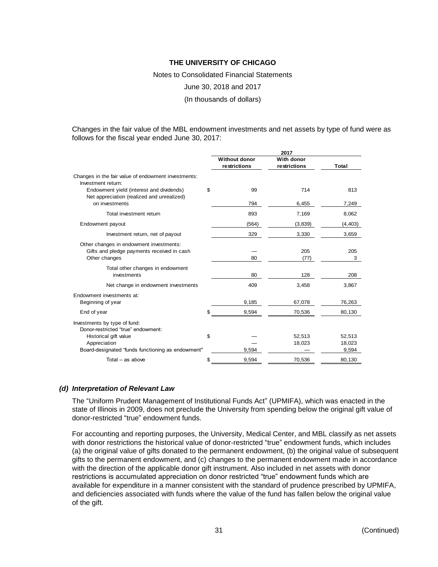Notes to Consolidated Financial Statements

June 30, 2018 and 2017

(In thousands of dollars)

Changes in the fair value of the MBL endowment investments and net assets by type of fund were as follows for the fiscal year ended June 30, 2017:

|                                                                                        |                                      | 2017                       |          |
|----------------------------------------------------------------------------------------|--------------------------------------|----------------------------|----------|
|                                                                                        | <b>Without donor</b><br>restrictions | With donor<br>restrictions | Total    |
| Changes in the fair value of endowment investments:<br>Investment return:              |                                      |                            |          |
| Endowment yield (interest and dividends)<br>Net appreciation (realized and unrealized) | \$<br>99                             | 714                        | 813      |
| on investments                                                                         | 794                                  | 6,455                      | 7,249    |
| Total investment return                                                                | 893                                  | 7,169                      | 8,062    |
| Endowment payout                                                                       | (564)                                | (3,839)                    | (4, 403) |
| Investment return, net of payout                                                       | 329                                  | 3,330                      | 3,659    |
| Other changes in endowment investments:                                                |                                      | 205                        | 205      |
| Gifts and pledge payments received in cash<br>Other changes                            | 80                                   | (77)                       | 3        |
| Total other changes in endowment<br>investments                                        | 80                                   | 128                        | 208      |
| Net change in endowment investments                                                    | 409                                  | 3,458                      | 3,867    |
| Endowment investments at:                                                              |                                      |                            |          |
| Beginning of year                                                                      | 9,185                                | 67,078                     | 76,263   |
| End of year                                                                            | 9,594                                | 70,536                     | 80,130   |
| Investments by type of fund:<br>Donor-restricted "true" endowment:                     |                                      |                            |          |
| Historical gift value                                                                  | \$                                   | 52,513                     | 52,513   |
| Appreciation                                                                           |                                      | 18,023                     | 18,023   |
| Board-designated "funds functioning as endowment"                                      | 9,594                                |                            | 9,594    |
| Total $-$ as above                                                                     | \$<br>9,594                          | 70,536                     | 80,130   |

#### *(d) Interpretation of Relevant Law*

The "Uniform Prudent Management of Institutional Funds Act" (UPMIFA), which was enacted in the state of Illinois in 2009, does not preclude the University from spending below the original gift value of donor-restricted "true" endowment funds.

For accounting and reporting purposes, the University, Medical Center, and MBL classify as net assets with donor restrictions the historical value of donor-restricted "true" endowment funds, which includes (a) the original value of gifts donated to the permanent endowment, (b) the original value of subsequent gifts to the permanent endowment, and (c) changes to the permanent endowment made in accordance with the direction of the applicable donor gift instrument. Also included in net assets with donor restrictions is accumulated appreciation on donor restricted "true" endowment funds which are available for expenditure in a manner consistent with the standard of prudence prescribed by UPMIFA, and deficiencies associated with funds where the value of the fund has fallen below the original value of the gift.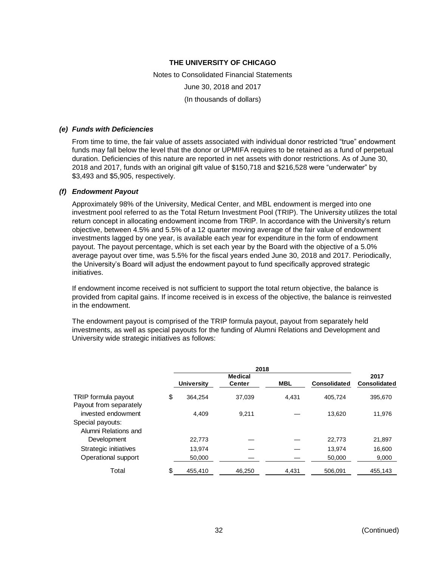Notes to Consolidated Financial Statements June 30, 2018 and 2017 (In thousands of dollars)

#### *(e) Funds with Deficiencies*

From time to time, the fair value of assets associated with individual donor restricted "true" endowment funds may fall below the level that the donor or UPMIFA requires to be retained as a fund of perpetual duration. Deficiencies of this nature are reported in net assets with donor restrictions. As of June 30, 2018 and 2017, funds with an original gift value of \$150,718 and \$216,528 were "underwater" by \$3,493 and \$5,905, respectively.

#### *(f) Endowment Payout*

Approximately 98% of the University, Medical Center, and MBL endowment is merged into one investment pool referred to as the Total Return Investment Pool (TRIP). The University utilizes the total return concept in allocating endowment income from TRIP. In accordance with the University's return objective, between 4.5% and 5.5% of a 12 quarter moving average of the fair value of endowment investments lagged by one year, is available each year for expenditure in the form of endowment payout. The payout percentage, which is set each year by the Board with the objective of a 5.0% average payout over time, was 5.5% for the fiscal years ended June 30, 2018 and 2017. Periodically, the University's Board will adjust the endowment payout to fund specifically approved strategic initiatives.

If endowment income received is not sufficient to support the total return objective, the balance is provided from capital gains. If income received is in excess of the objective, the balance is reinvested in the endowment.

The endowment payout is comprised of the TRIP formula payout, payout from separately held investments, as well as special payouts for the funding of Alumni Relations and Development and University wide strategic initiatives as follows:

| 2018           |                   |            |                     |              |
|----------------|-------------------|------------|---------------------|--------------|
| <b>Medical</b> |                   |            |                     | 2017         |
|                | <b>Center</b>     | <b>MBL</b> | <b>Consolidated</b> | Consolidated |
| \$<br>364.254  | 37.039            | 4.431      | 405.724             | 395.670      |
|                |                   |            |                     |              |
| 4.409          | 9.211             |            | 13.620              | 11.976       |
|                |                   |            |                     |              |
|                |                   |            |                     |              |
| 22,773         |                   |            | 22,773              | 21,897       |
| 13.974         |                   |            | 13.974              | 16,600       |
| 50,000         |                   |            | 50,000              | 9,000        |
| \$<br>455,410  | 46,250            | 4,431      | 506,091             | 455,143      |
|                | <b>University</b> |            |                     |              |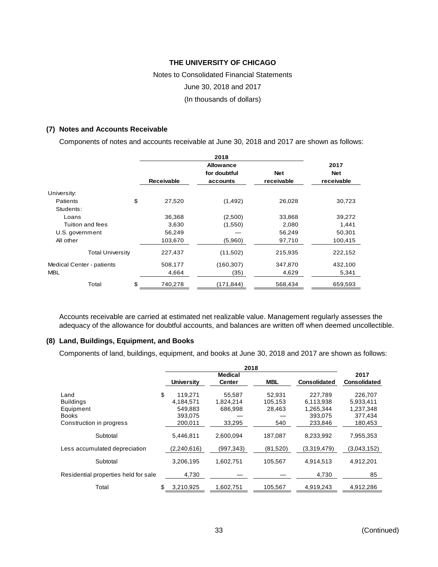# Notes to Consolidated Financial Statements June 30, 2018 and 2017 (In thousands of dollars)

#### **(7) Notes and Accounts Receivable**

Components of notes and accounts receivable at June 30, 2018 and 2017 are shown as follows:

|                                  |                   | 2017         |            |            |
|----------------------------------|-------------------|--------------|------------|------------|
|                                  |                   | for doubtful | <b>Net</b> | <b>Net</b> |
|                                  | <b>Receivable</b> | accounts     | receivable | receivable |
| University:                      |                   |              |            |            |
| Patients                         | \$<br>27,520      | (1, 492)     | 26,028     | 30,723     |
| Students:                        |                   |              |            |            |
| Loans                            | 36,368            | (2,500)      | 33,868     | 39,272     |
| Tuition and fees                 | 3,630             | (1,550)      | 2,080      | 1,441      |
| U.S. government                  | 56,249            |              | 56,249     | 50,301     |
| All other                        | 103,670           | (5,960)      | 97,710     | 100,415    |
| <b>Total University</b>          | 227,437           | (11,502)     | 215,935    | 222,152    |
| <b>Medical Center - patients</b> | 508,177           | (160, 307)   | 347,870    | 432,100    |
| <b>MBL</b>                       | 4,664             | (35)         | 4,629      | 5,341      |
| Total                            | \$<br>740,278     | (171, 844)   | 568,434    | 659,593    |

Accounts receivable are carried at estimated net realizable value. Management regularly assesses the adequacy of the allowance for doubtful accounts, and balances are written off when deemed uncollectible.

#### **(8) Land, Buildings, Equipment, and Books**

Components of land, buildings, equipment, and books at June 30, 2018 and 2017 are shown as follows:

|                                      | 2018              |                |            |              |                     |
|--------------------------------------|-------------------|----------------|------------|--------------|---------------------|
|                                      |                   | <b>Medical</b> |            |              | 2017                |
|                                      | <b>University</b> | <b>Center</b>  | <b>MBL</b> | Consolidated | <b>Consolidated</b> |
| Land                                 | \$<br>119.271     | 55,587         | 52.931     | 227.789      | 226.707             |
| <b>Buildings</b>                     | 4,184,571         | 1,824,214      | 105,153    | 6.113,938    | 5,933,411           |
| Equipment                            | 549,883           | 686,998        | 28,463     | 1,265,344    | 1,237,348           |
| <b>Books</b>                         | 393.075           |                |            | 393.075      | 377.434             |
| Construction in progress             | 200.011           | 33,295         | 540        | 233.846      | 180,453             |
| Subtotal                             | 5.446.811         | 2.600.094      | 187,087    | 8,233,992    | 7,955,353           |
| Less accumulated depreciation        | (2,240,616)       | (997, 343)     | (81,520)   | (3,319,479)  | (3,043,152)         |
| Subtotal                             | 3.206.195         | 1.602.751      | 105.567    | 4.914.513    | 4.912.201           |
| Residential properties held for sale | 4,730             |                |            | 4,730        | 85                  |
| Total                                | \$<br>3,210,925   | 1,602,751      | 105,567    | 4,919,243    | 4,912,286           |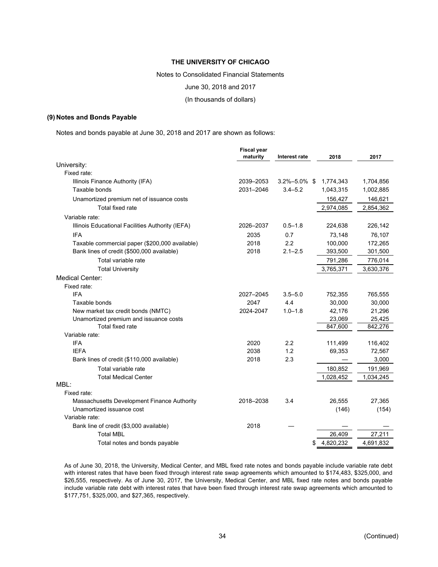Notes to Consolidated Financial Statements

June 30, 2018 and 2017

(In thousands of dollars)

#### **(9) Notes and Bonds Payable**

Notes and bonds payable at June 30, 2018 and 2017 are shown as follows:

|                                                                          | <b>Fiscal year</b><br>maturity | Interest rate      | 2018            | 2017            |
|--------------------------------------------------------------------------|--------------------------------|--------------------|-----------------|-----------------|
| University:                                                              |                                |                    |                 |                 |
| Fixed rate:                                                              |                                |                    |                 |                 |
| Illinois Finance Authority (IFA)                                         | 2039-2053                      | $3.2\% - 5.0\%$ \$ | 1,774,343       | 1,704,856       |
| Taxable bonds                                                            | 2031-2046                      | $3.4 - 5.2$        | 1,043,315       | 1,002,885       |
| Unamortized premium net of issuance costs                                |                                |                    | 156,427         | 146,621         |
| Total fixed rate                                                         |                                |                    | 2,974,085       | 2,854,362       |
| Variable rate:                                                           |                                |                    |                 |                 |
| Illinois Educational Facilities Authority (IEFA)                         | 2026-2037                      | $0.5 - 1.8$        | 224,638         | 226,142         |
| <b>IFA</b>                                                               | 2035                           | 0.7                | 73,148          | 76,107          |
| Taxable commercial paper (\$200,000 available)                           | 2018                           | 2.2                | 100,000         | 172,265         |
| Bank lines of credit (\$500,000 available)                               | 2018                           | $2.1 - 2.5$        | 393,500         | 301,500         |
| Total variable rate                                                      |                                |                    | 791,286         | 776,014         |
| <b>Total University</b>                                                  |                                |                    | 3,765,371       | 3,630,376       |
| <b>Medical Center:</b>                                                   |                                |                    |                 |                 |
| Fixed rate:                                                              |                                |                    |                 |                 |
| <b>IFA</b>                                                               | 2027-2045                      | $3.5 - 5.0$        | 752,355         | 765,555         |
| Taxable bonds                                                            | 2047                           | 4.4                | 30,000          | 30,000          |
| New market tax credit bonds (NMTC)                                       | 2024-2047                      | $1.0 - 1.8$        | 42,176          | 21,296          |
| Unamortized premium and issuance costs                                   |                                |                    | 23,069          | 25,425          |
| Total fixed rate                                                         |                                |                    | 847,600         | 842, 276        |
| Variable rate:                                                           |                                |                    |                 |                 |
| <b>IFA</b>                                                               | 2020                           | 2.2                | 111,499         | 116,402         |
| <b>IEFA</b>                                                              | 2038                           | 1.2                | 69,353          | 72,567          |
| Bank lines of credit (\$110,000 available)                               | 2018                           | 2.3                |                 | 3,000           |
| Total variable rate                                                      |                                |                    | 180,852         | 191,969         |
| <b>Total Medical Center</b>                                              |                                |                    | 1,028,452       | 1,034,245       |
| MBL:<br>Fixed rate:                                                      |                                |                    |                 |                 |
|                                                                          | 2018-2038                      | 3.4                |                 |                 |
| Massachusetts Development Finance Authority<br>Unamortized issuance cost |                                |                    | 26,555<br>(146) | 27,365<br>(154) |
| Variable rate:                                                           |                                |                    |                 |                 |
| Bank line of credit (\$3,000 available)                                  | 2018                           |                    |                 |                 |
| <b>Total MBL</b>                                                         |                                |                    | 26,409          | 27,211          |
| Total notes and bonds payable                                            |                                |                    | 4,820,232<br>\$ | 4,691,832       |
|                                                                          |                                |                    |                 |                 |

As of June 30, 2018, the University, Medical Center, and MBL fixed rate notes and bonds payable include variable rate debt with interest rates that have been fixed through interest rate swap agreements which amounted to \$174,483, \$325,000, and \$26,555, respectively. As of June 30, 2017, the University, Medical Center, and MBL fixed rate notes and bonds payable include variable rate debt with interest rates that have been fixed through interest rate swap agreements which amounted to \$177,751, \$325,000, and \$27,365, respectively.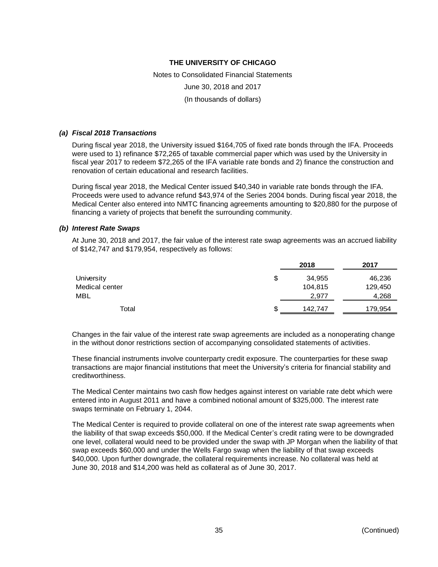Notes to Consolidated Financial Statements June 30, 2018 and 2017 (In thousands of dollars)

#### *(a) Fiscal 2018 Transactions*

During fiscal year 2018, the University issued \$164,705 of fixed rate bonds through the IFA. Proceeds were used to 1) refinance \$72,265 of taxable commercial paper which was used by the University in fiscal year 2017 to redeem \$72,265 of the IFA variable rate bonds and 2) finance the construction and renovation of certain educational and research facilities.

During fiscal year 2018, the Medical Center issued \$40,340 in variable rate bonds through the IFA. Proceeds were used to advance refund \$43,974 of the Series 2004 bonds. During fiscal year 2018, the Medical Center also entered into NMTC financing agreements amounting to \$20,880 for the purpose of financing a variety of projects that benefit the surrounding community.

#### *(b) Interest Rate Swaps*

At June 30, 2018 and 2017, the fair value of the interest rate swap agreements was an accrued liability of \$142,747 and \$179,954, respectively as follows:

|                | 2018          | 2017    |
|----------------|---------------|---------|
| University     | \$<br>34,955  | 46,236  |
| Medical center | 104,815       | 129,450 |
| MBL            | 2,977         | 4,268   |
| Total          | \$<br>142,747 | 179,954 |

Changes in the fair value of the interest rate swap agreements are included as a nonoperating change in the without donor restrictions section of accompanying consolidated statements of activities.

These financial instruments involve counterparty credit exposure. The counterparties for these swap transactions are major financial institutions that meet the University's criteria for financial stability and creditworthiness.

The Medical Center maintains two cash flow hedges against interest on variable rate debt which were entered into in August 2011 and have a combined notional amount of \$325,000. The interest rate swaps terminate on February 1, 2044.

The Medical Center is required to provide collateral on one of the interest rate swap agreements when the liability of that swap exceeds \$50,000. If the Medical Center's credit rating were to be downgraded one level, collateral would need to be provided under the swap with JP Morgan when the liability of that swap exceeds \$60,000 and under the Wells Fargo swap when the liability of that swap exceeds \$40,000. Upon further downgrade, the collateral requirements increase. No collateral was held at June 30, 2018 and \$14,200 was held as collateral as of June 30, 2017.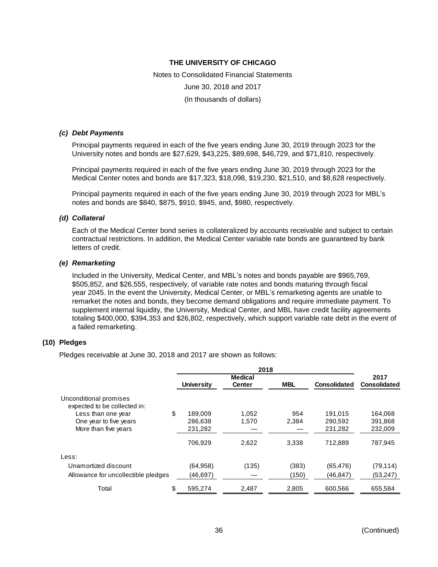Notes to Consolidated Financial Statements June 30, 2018 and 2017 (In thousands of dollars)

#### *(c) Debt Payments*

Principal payments required in each of the five years ending June 30, 2019 through 2023 for the University notes and bonds are \$27,629, \$43,225, \$89,698, \$46,729, and \$71,810, respectively.

Principal payments required in each of the five years ending June 30, 2019 through 2023 for the Medical Center notes and bonds are \$17,323, \$18,098, \$19,230, \$21,510, and \$8,628 respectively.

Principal payments required in each of the five years ending June 30, 2019 through 2023 for MBL's notes and bonds are \$840, \$875, \$910, \$945, and, \$980, respectively.

#### *(d) Collateral*

Each of the Medical Center bond series is collateralized by accounts receivable and subject to certain contractual restrictions. In addition, the Medical Center variable rate bonds are guaranteed by bank letters of credit.

#### *(e) Remarketing*

Included in the University, Medical Center, and MBL's notes and bonds payable are \$965,769, \$505,852, and \$26,555, respectively, of variable rate notes and bonds maturing through fiscal year 2045. In the event the University, Medical Center, or MBL's remarketing agents are unable to remarket the notes and bonds, they become demand obligations and require immediate payment. To supplement internal liquidity, the University, Medical Center, and MBL have credit facility agreements totaling \$400,000, \$394,353 and \$26,802, respectively, which support variable rate debt in the event of a failed remarketing.

#### **(10) Pledges**

Pledges receivable at June 30, 2018 and 2017 are shown as follows:

|                                                        | 2018              |                |            |                     |                     |
|--------------------------------------------------------|-------------------|----------------|------------|---------------------|---------------------|
|                                                        |                   | <b>Medical</b> |            |                     | 2017                |
|                                                        | <b>University</b> | <b>Center</b>  | <b>MBL</b> | <b>Consolidated</b> | <b>Consolidated</b> |
| Unconditional promises<br>expected to be collected in: |                   |                |            |                     |                     |
| Less than one year                                     | \$<br>189.009     | 1.052          | 954        | 191.015             | 164.068             |
| One year to five years                                 | 286,638           | 1,570          | 2,384      | 290,592             | 391,868             |
| More than five years                                   | 231,282           |                |            | 231,282             | 232,009             |
|                                                        | 706,929           | 2.622          | 3.338      | 712.889             | 787.945             |
| Less:                                                  |                   |                |            |                     |                     |
| Unamortized discount                                   | (64, 958)         | (135)          | (383)      | (65, 476)           | (79, 114)           |
| Allowance for uncollectible pledges                    | (46,697)          |                | (150)      | (46, 847)           | (53, 247)           |
| Total                                                  | \$<br>595.274     | 2,487          | 2,805      | 600.566             | 655.584             |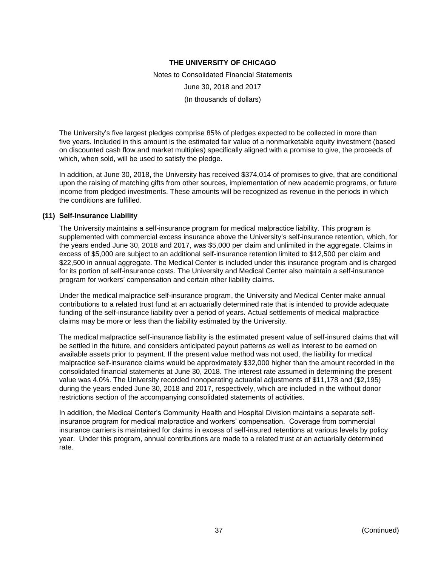Notes to Consolidated Financial Statements June 30, 2018 and 2017 (In thousands of dollars)

The University's five largest pledges comprise 85% of pledges expected to be collected in more than five years. Included in this amount is the estimated fair value of a nonmarketable equity investment (based on discounted cash flow and market multiples) specifically aligned with a promise to give, the proceeds of which, when sold, will be used to satisfy the pledge.

In addition, at June 30, 2018, the University has received \$374,014 of promises to give, that are conditional upon the raising of matching gifts from other sources, implementation of new academic programs, or future income from pledged investments. These amounts will be recognized as revenue in the periods in which the conditions are fulfilled.

#### **(11) Self-Insurance Liability**

The University maintains a self-insurance program for medical malpractice liability. This program is supplemented with commercial excess insurance above the University's self-insurance retention, which, for the years ended June 30, 2018 and 2017, was \$5,000 per claim and unlimited in the aggregate. Claims in excess of \$5,000 are subject to an additional self-insurance retention limited to \$12,500 per claim and \$22,500 in annual aggregate. The Medical Center is included under this insurance program and is charged for its portion of self-insurance costs. The University and Medical Center also maintain a self-insurance program for workers' compensation and certain other liability claims.

Under the medical malpractice self-insurance program, the University and Medical Center make annual contributions to a related trust fund at an actuarially determined rate that is intended to provide adequate funding of the self-insurance liability over a period of years. Actual settlements of medical malpractice claims may be more or less than the liability estimated by the University.

The medical malpractice self-insurance liability is the estimated present value of self-insured claims that will be settled in the future, and considers anticipated payout patterns as well as interest to be earned on available assets prior to payment. If the present value method was not used, the liability for medical malpractice self-insurance claims would be approximately \$32,000 higher than the amount recorded in the consolidated financial statements at June 30, 2018. The interest rate assumed in determining the present value was 4.0%. The University recorded nonoperating actuarial adjustments of \$11,178 and (\$2,195) during the years ended June 30, 2018 and 2017, respectively, which are included in the without donor restrictions section of the accompanying consolidated statements of activities.

In addition, the Medical Center's Community Health and Hospital Division maintains a separate selfinsurance program for medical malpractice and workers' compensation. Coverage from commercial insurance carriers is maintained for claims in excess of self-insured retentions at various levels by policy year. Under this program, annual contributions are made to a related trust at an actuarially determined rate.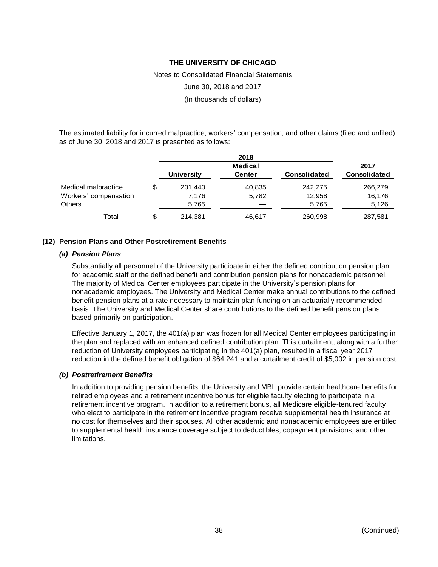Notes to Consolidated Financial Statements June 30, 2018 and 2017 (In thousands of dollars)

The estimated liability for incurred malpractice, workers' compensation, and other claims (filed and unfiled) as of June 30, 2018 and 2017 is presented as follows:

|                       |    |                   | 2018           |                     |              |
|-----------------------|----|-------------------|----------------|---------------------|--------------|
|                       |    |                   | <b>Medical</b> |                     | 2017         |
|                       |    | <b>University</b> | <b>Center</b>  | <b>Consolidated</b> | Consolidated |
| Medical malpractice   | \$ | 201,440           | 40,835         | 242.275             | 266,279      |
| Workers' compensation |    | 7,176             | 5,782          | 12,958              | 16,176       |
| <b>Others</b>         |    | 5,765             |                | 5,765               | 5,126        |
| Total                 | S  | 214,381           | 46,617         | 260,998             | 287,581      |

#### **(12) Pension Plans and Other Postretirement Benefits**

#### *(a) Pension Plans*

Substantially all personnel of the University participate in either the defined contribution pension plan for academic staff or the defined benefit and contribution pension plans for nonacademic personnel. The majority of Medical Center employees participate in the University's pension plans for nonacademic employees. The University and Medical Center make annual contributions to the defined benefit pension plans at a rate necessary to maintain plan funding on an actuarially recommended basis. The University and Medical Center share contributions to the defined benefit pension plans based primarily on participation.

Effective January 1, 2017, the 401(a) plan was frozen for all Medical Center employees participating in the plan and replaced with an enhanced defined contribution plan. This curtailment, along with a further reduction of University employees participating in the 401(a) plan, resulted in a fiscal year 2017 reduction in the defined benefit obligation of \$64,241 and a curtailment credit of \$5,002 in pension cost.

#### *(b) Postretirement Benefits*

In addition to providing pension benefits, the University and MBL provide certain healthcare benefits for retired employees and a retirement incentive bonus for eligible faculty electing to participate in a retirement incentive program. In addition to a retirement bonus, all Medicare eligible-tenured faculty who elect to participate in the retirement incentive program receive supplemental health insurance at no cost for themselves and their spouses. All other academic and nonacademic employees are entitled to supplemental health insurance coverage subject to deductibles, copayment provisions, and other limitations.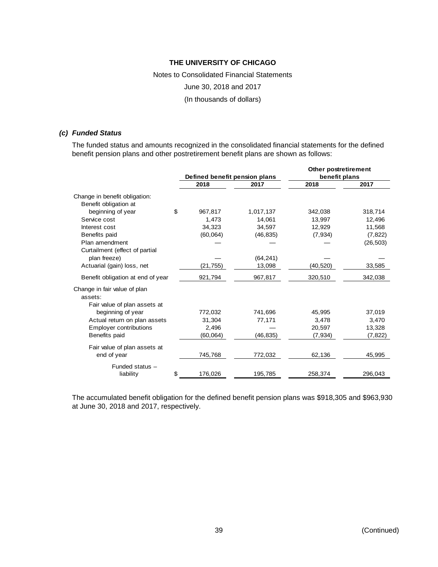# Notes to Consolidated Financial Statements June 30, 2018 and 2017 (In thousands of dollars)

#### *(c) Funded Status*

The funded status and amounts recognized in the consolidated financial statements for the defined benefit pension plans and other postretirement benefit plans are shown as follows:

|                                   |               |                               | Other postretirement |           |  |
|-----------------------------------|---------------|-------------------------------|----------------------|-----------|--|
|                                   |               | Defined benefit pension plans | benefit plans        |           |  |
|                                   | 2018          | 2017                          | 2018                 | 2017      |  |
| Change in benefit obligation:     |               |                               |                      |           |  |
| Benefit obligation at             |               |                               |                      |           |  |
| beginning of year                 | \$<br>967,817 | 1,017,137                     | 342,038              | 318,714   |  |
| Service cost                      | 1,473         | 14,061                        | 13,997               | 12,496    |  |
| Interest cost                     | 34,323        | 34,597                        | 12,929               | 11,568    |  |
| Benefits paid                     | (60, 064)     | (46, 835)                     | (7, 934)             | (7, 822)  |  |
| Plan amendment                    |               |                               |                      | (26, 503) |  |
| Curtailment (effect of partial    |               |                               |                      |           |  |
| plan freeze)                      |               | (64, 241)                     |                      |           |  |
| Actuarial (gain) loss, net        | (21, 755)     | 13,098                        | (40, 520)            | 33,585    |  |
| Benefit obligation at end of year | 921,794       | 967,817                       | 320,510              | 342,038   |  |
| Change in fair value of plan      |               |                               |                      |           |  |
| assets:                           |               |                               |                      |           |  |
| Fair value of plan assets at      |               |                               |                      |           |  |
| beginning of year                 | 772,032       | 741,696                       | 45,995               | 37,019    |  |
| Actual return on plan assets      | 31,304        | 77,171                        | 3,478                | 3,470     |  |
| <b>Employer contributions</b>     | 2,496         |                               | 20,597               | 13,328    |  |
| Benefits paid                     | (60,064)      | (46, 835)                     | (7, 934)             | (7, 822)  |  |
| Fair value of plan assets at      |               |                               |                      |           |  |
| end of year                       | 745,768       | 772,032                       | 62,136               | 45,995    |  |
| Funded status -                   |               |                               |                      |           |  |
| liability                         | \$<br>176,026 | 195,785                       | 258,374              | 296,043   |  |

The accumulated benefit obligation for the defined benefit pension plans was \$918,305 and \$963,930 at June 30, 2018 and 2017, respectively.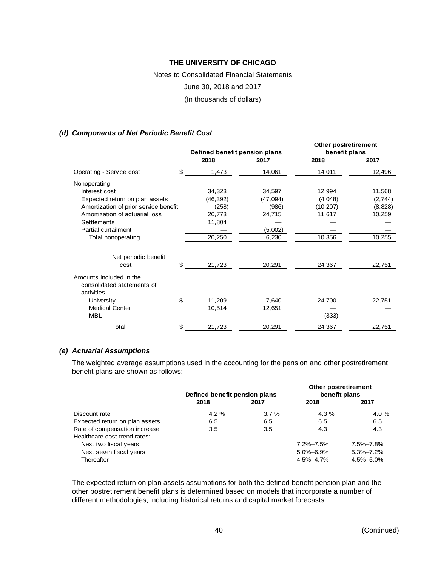# Notes to Consolidated Financial Statements June 30, 2018 and 2017 (In thousands of dollars)

#### *(d) Components of Net Periodic Benefit Cost*

|                                                                      | Defined benefit pension plans |          | Other postretirement<br>benefit plans |         |  |
|----------------------------------------------------------------------|-------------------------------|----------|---------------------------------------|---------|--|
|                                                                      | 2018                          | 2017     | 2018                                  | 2017    |  |
| Operating - Service cost                                             | \$<br>1,473                   | 14,061   | 14,011                                | 12,496  |  |
| Nonoperating:                                                        |                               |          |                                       |         |  |
| Interest cost                                                        | 34,323                        | 34,597   | 12,994                                | 11,568  |  |
| Expected return on plan assets                                       | (46, 392)                     | (47,094) | (4,048)                               | (2,744) |  |
| Amortization of prior service benefit                                | (258)                         | (986)    | (10, 207)                             | (8,828) |  |
| Amortization of actuarial loss                                       | 20,773                        | 24,715   | 11,617                                | 10,259  |  |
| Settlements                                                          | 11,804                        |          |                                       |         |  |
| Partial curtailment                                                  |                               | (5,002)  |                                       |         |  |
| Total nonoperating                                                   | 20,250                        | 6,230    | 10,356                                | 10,255  |  |
| Net periodic benefit                                                 |                               |          |                                       |         |  |
| cost                                                                 | \$<br>21,723                  | 20,291   | 24,367                                | 22,751  |  |
| Amounts included in the<br>consolidated statements of<br>activities: |                               |          |                                       |         |  |
| University                                                           | \$<br>11,209                  | 7,640    | 24,700                                | 22,751  |  |
| <b>Medical Center</b>                                                | 10,514                        | 12,651   |                                       |         |  |
| <b>MBL</b>                                                           |                               |          | (333)                                 |         |  |
| Total                                                                | \$<br>21,723                  | 20,291   | 24,367                                | 22,751  |  |

#### *(e) Actuarial Assumptions*

The weighted average assumptions used in the accounting for the pension and other postretirement benefit plans are shown as follows:

|                                | Defined benefit pension plans |      | Other postretirement<br>benefit plans |                 |  |
|--------------------------------|-------------------------------|------|---------------------------------------|-----------------|--|
|                                | 2018                          | 2017 | 2018                                  | 2017            |  |
| Discount rate                  | $4.2\%$                       | 3.7% | $4.3\%$                               | 4.0 %           |  |
| Expected return on plan assets | 6.5                           | 6.5  | 6.5                                   | 6.5             |  |
| Rate of compensation increase  | 3.5                           | 3.5  | 4.3                                   | 4.3             |  |
| Healthcare cost trend rates:   |                               |      |                                       |                 |  |
| Next two fiscal years          |                               |      | 7.2%-7.5%                             | 7.5%-7.8%       |  |
| Next seven fiscal years        |                               |      | $5.0\% - 6.9\%$                       | $5.3\% - 7.2\%$ |  |
| Thereafter                     |                               |      | 4.5%-4.7%                             | 4.5%-5.0%       |  |

The expected return on plan assets assumptions for both the defined benefit pension plan and the other postretirement benefit plans is determined based on models that incorporate a number of different methodologies, including historical returns and capital market forecasts.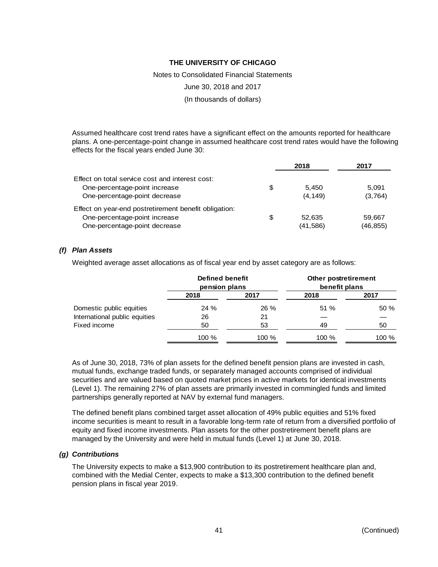Notes to Consolidated Financial Statements

June 30, 2018 and 2017

(In thousands of dollars)

Assumed healthcare cost trend rates have a significant effect on the amounts reported for healthcare plans. A one-percentage-point change in assumed healthcare cost trend rates would have the following effects for the fiscal years ended June 30:

|                                                       | 2018      | 2017      |
|-------------------------------------------------------|-----------|-----------|
| Effect on total service cost and interest cost:       |           |           |
| One-percentage-point increase<br>\$                   | 5.450     | 5.091     |
| One-percentage-point decrease                         | (4, 149)  | (3,764)   |
| Effect on year-end postretirement benefit obligation: |           |           |
| One-percentage-point increase<br>\$                   | 52.635    | 59.667    |
| One-percentage-point decrease                         | (41, 586) | (46, 855) |

#### *(f) Plan Assets*

Weighted average asset allocations as of fiscal year end by asset category are as follows:

|                               | <b>Defined benefit</b><br>pension plans |        | Other postretirement<br>benefit plans |       |  |
|-------------------------------|-----------------------------------------|--------|---------------------------------------|-------|--|
|                               | 2018                                    | 2017   | 2018                                  | 2017  |  |
| Domestic public equities      | 24 %                                    | $26\%$ | 51%                                   | 50%   |  |
| International public equities | 26                                      | 21     |                                       |       |  |
| Fixed income                  | 50                                      | 53     | 49                                    | 50    |  |
|                               | 100 %                                   | 100 %  | $100\%$                               | 100 % |  |

As of June 30, 2018, 73% of plan assets for the defined benefit pension plans are invested in cash, mutual funds, exchange traded funds, or separately managed accounts comprised of individual securities and are valued based on quoted market prices in active markets for identical investments (Level 1). The remaining 27% of plan assets are primarily invested in commingled funds and limited partnerships generally reported at NAV by external fund managers.

The defined benefit plans combined target asset allocation of 49% public equities and 51% fixed income securities is meant to result in a favorable long-term rate of return from a diversified portfolio of equity and fixed income investments. Plan assets for the other postretirement benefit plans are managed by the University and were held in mutual funds (Level 1) at June 30, 2018.

#### *(g) Contributions*

The University expects to make a \$13,900 contribution to its postretirement healthcare plan and, combined with the Medial Center, expects to make a \$13,300 contribution to the defined benefit pension plans in fiscal year 2019.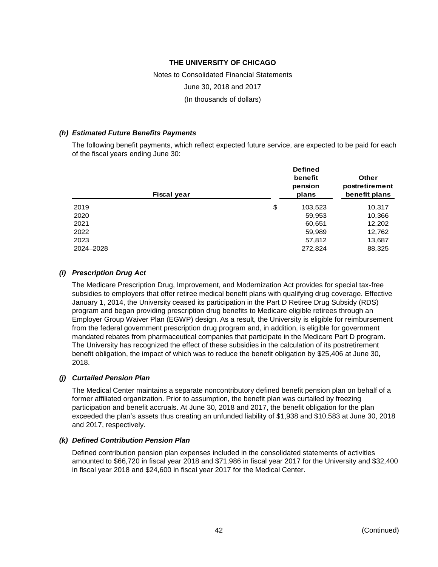# Notes to Consolidated Financial Statements June 30, 2018 and 2017 (In thousands of dollars)

#### *(h) Estimated Future Benefits Payments*

The following benefit payments, which reflect expected future service, are expected to be paid for each of the fiscal years ending June 30:

| Fiscal year | <b>Defined</b><br>benefit<br>pension<br>plans | <b>Other</b><br>postretirement<br>benefit plans |  |
|-------------|-----------------------------------------------|-------------------------------------------------|--|
| 2019        | \$<br>103,523                                 | 10,317                                          |  |
| 2020        | 59,953                                        | 10,366                                          |  |
| 2021        | 60,651                                        | 12,202                                          |  |
| 2022        | 59,989                                        | 12,762                                          |  |
| 2023        | 57,812                                        | 13,687                                          |  |
| 2024-2028   | 272,824                                       | 88,325                                          |  |

#### *(i) Prescription Drug Act*

The Medicare Prescription Drug, Improvement, and Modernization Act provides for special tax-free subsidies to employers that offer retiree medical benefit plans with qualifying drug coverage. Effective January 1, 2014, the University ceased its participation in the Part D Retiree Drug Subsidy (RDS) program and began providing prescription drug benefits to Medicare eligible retirees through an Employer Group Waiver Plan (EGWP) design. As a result, the University is eligible for reimbursement from the federal government prescription drug program and, in addition, is eligible for government mandated rebates from pharmaceutical companies that participate in the Medicare Part D program. The University has recognized the effect of these subsidies in the calculation of its postretirement benefit obligation, the impact of which was to reduce the benefit obligation by \$25,406 at June 30, 2018.

#### *(j) Curtailed Pension Plan*

The Medical Center maintains a separate noncontributory defined benefit pension plan on behalf of a former affiliated organization. Prior to assumption, the benefit plan was curtailed by freezing participation and benefit accruals. At June 30, 2018 and 2017, the benefit obligation for the plan exceeded the plan's assets thus creating an unfunded liability of \$1,938 and \$10,583 at June 30, 2018 and 2017, respectively.

#### *(k) Defined Contribution Pension Plan*

Defined contribution pension plan expenses included in the consolidated statements of activities amounted to \$66,720 in fiscal year 2018 and \$71,986 in fiscal year 2017 for the University and \$32,400 in fiscal year 2018 and \$24,600 in fiscal year 2017 for the Medical Center.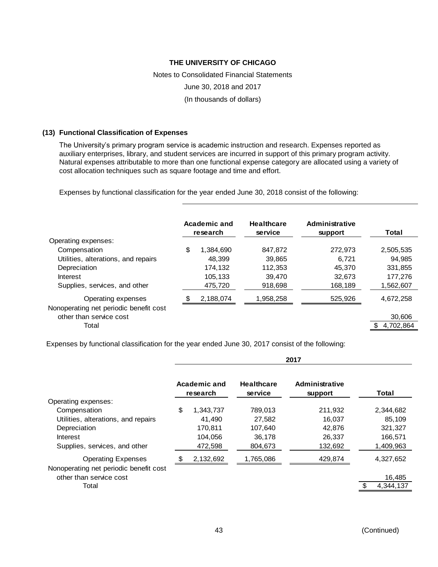# Notes to Consolidated Financial Statements June 30, 2018 and 2017 (In thousands of dollars)

#### **(13) Functional Classification of Expenses**

The University's primary program service is academic instruction and research. Expenses reported as auxiliary enterprises, library, and student services are incurred in support of this primary program activity. Natural expenses attributable to more than one functional expense category are allocated using a variety of cost allocation techniques such as square footage and time and effort.

Expenses by functional classification for the year ended June 30, 2018 consist of the following:

|                                                                                                                                         |    | Academic and<br>research                             | <b>Healthcare</b><br>service                      | <b>Administrative</b><br>support                | Total                                                  |  |
|-----------------------------------------------------------------------------------------------------------------------------------------|----|------------------------------------------------------|---------------------------------------------------|-------------------------------------------------|--------------------------------------------------------|--|
| Operating expenses:<br>Compensation<br>Utilities, alterations, and repairs<br>Depreciation<br>Interest<br>Supplies, services, and other | \$ | 1.384.690<br>48.399<br>174,132<br>105,133<br>475,720 | 847,872<br>39.865<br>112,353<br>39.470<br>918,698 | 272,973<br>6.721<br>45.370<br>32.673<br>168,189 | 2,505,535<br>94.985<br>331,855<br>177.276<br>1,562,607 |  |
| Operating expenses<br>Nonoperating net periodic benefit cost<br>other than service cost<br>Total                                        | S  | 2,188,074                                            | 1,958,258                                         | 525,926                                         | 4,672,258<br>30,606<br>4,702,864                       |  |

Expenses by functional classification for the year ended June 30, 2017 consist of the following:

| <b>Administrative</b><br>support | Total     |
|----------------------------------|-----------|
|                                  |           |
|                                  |           |
| 211,932                          | 2,344,682 |
| 16.037                           | 85.109    |
| 42,876                           | 321,327   |
| 26,337                           | 166,571   |
| 132,692                          | 1,409,963 |
| 429,874                          | 4,327,652 |
|                                  | 16,485    |
|                                  | 4,344,137 |
|                                  |           |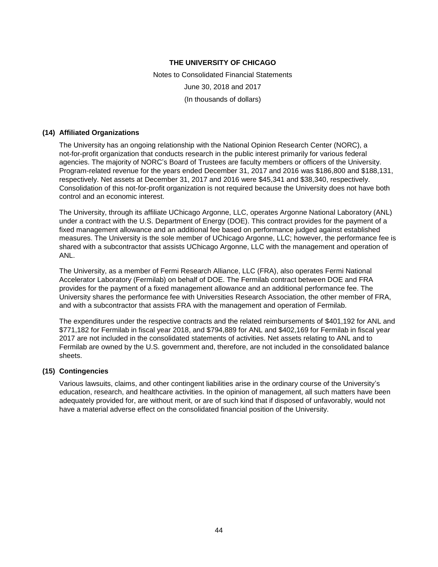Notes to Consolidated Financial Statements June 30, 2018 and 2017 (In thousands of dollars)

#### **(14) Affiliated Organizations**

The University has an ongoing relationship with the National Opinion Research Center (NORC), a not-for-profit organization that conducts research in the public interest primarily for various federal agencies. The majority of NORC's Board of Trustees are faculty members or officers of the University. Program-related revenue for the years ended December 31, 2017 and 2016 was \$186,800 and \$188,131, respectively. Net assets at December 31, 2017 and 2016 were \$45,341 and \$38,340, respectively. Consolidation of this not-for-profit organization is not required because the University does not have both control and an economic interest.

The University, through its affiliate UChicago Argonne, LLC, operates Argonne National Laboratory (ANL) under a contract with the U.S. Department of Energy (DOE). This contract provides for the payment of a fixed management allowance and an additional fee based on performance judged against established measures. The University is the sole member of UChicago Argonne, LLC; however, the performance fee is shared with a subcontractor that assists UChicago Argonne, LLC with the management and operation of ANL.

The University, as a member of Fermi Research Alliance, LLC (FRA), also operates Fermi National Accelerator Laboratory (Fermilab) on behalf of DOE. The Fermilab contract between DOE and FRA provides for the payment of a fixed management allowance and an additional performance fee. The University shares the performance fee with Universities Research Association, the other member of FRA, and with a subcontractor that assists FRA with the management and operation of Fermilab.

The expenditures under the respective contracts and the related reimbursements of \$401,192 for ANL and \$771,182 for Fermilab in fiscal year 2018, and \$794,889 for ANL and \$402,169 for Fermilab in fiscal year 2017 are not included in the consolidated statements of activities. Net assets relating to ANL and to Fermilab are owned by the U.S. government and, therefore, are not included in the consolidated balance sheets.

#### **(15) Contingencies**

Various lawsuits, claims, and other contingent liabilities arise in the ordinary course of the University's education, research, and healthcare activities. In the opinion of management, all such matters have been adequately provided for, are without merit, or are of such kind that if disposed of unfavorably, would not have a material adverse effect on the consolidated financial position of the University.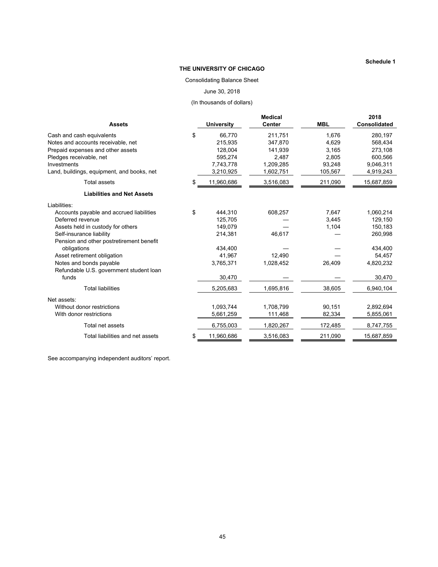#### **THE UNIVERSITY OF CHICAGO**

#### Consolidating Balance Sheet

June 30, 2018

(In thousands of dollars)

| <b>Assets</b>                                  | <b>University</b> | <b>Medical</b><br><b>Center</b> | <b>MBL</b> | 2018<br><b>Consolidated</b> |
|------------------------------------------------|-------------------|---------------------------------|------------|-----------------------------|
| \$<br>Cash and cash equivalents                | 66,770            | 211,751                         | 1,676      | 280,197                     |
| Notes and accounts receivable, net             | 215,935           | 347.870                         | 4.629      | 568,434                     |
| Prepaid expenses and other assets              | 128,004           | 141,939                         | 3,165      | 273,108                     |
| Pledges receivable, net                        | 595,274           | 2,487                           | 2,805      | 600.566                     |
| Investments                                    | 7,743,778         | 1,209,285                       | 93,248     | 9,046,311                   |
| Land, buildings, equipment, and books, net     | 3,210,925         | 1,602,751                       | 105,567    | 4,919,243                   |
| \$<br>Total assets                             | 11,960,686        | 3,516,083                       | 211,090    | 15,687,859                  |
| <b>Liabilities and Net Assets</b>              |                   |                                 |            |                             |
| Liabilities:                                   |                   |                                 |            |                             |
| \$<br>Accounts payable and accrued liabilities | 444,310           | 608,257                         | 7,647      | 1,060,214                   |
| Deferred revenue                               | 125,705           |                                 | 3,445      | 129,150                     |
| Assets held in custody for others              | 149,079           |                                 | 1,104      | 150,183                     |
| Self-insurance liability                       | 214,381           | 46,617                          |            | 260,998                     |
| Pension and other postretirement benefit       |                   |                                 |            |                             |
| obligations                                    | 434,400           |                                 |            | 434,400                     |
| Asset retirement obligation                    | 41,967            | 12,490                          |            | 54,457                      |
| Notes and bonds payable                        | 3,765,371         | 1,028,452                       | 26,409     | 4,820,232                   |
| Refundable U.S. government student loan        |                   |                                 |            |                             |
| funds                                          | 30,470            |                                 |            | 30,470                      |
| <b>Total liabilities</b>                       | 5,205,683         | 1,695,816                       | 38,605     | 6,940,104                   |
| Net assets:                                    |                   |                                 |            |                             |
| Without donor restrictions                     | 1,093,744         | 1,708,799                       | 90,151     | 2,892,694                   |
| With donor restrictions                        | 5,661,259         | 111,468                         | 82,334     | 5,855,061                   |
| Total net assets                               | 6,755,003         | 1,820,267                       | 172,485    | 8,747,755                   |
| Total liabilities and net assets<br>\$         | 11,960,686        | 3,516,083                       | 211,090    | 15,687,859                  |

See accompanying independent auditors' report.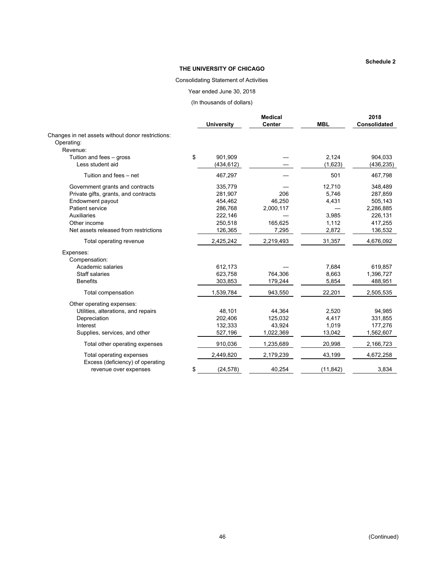#### **THE UNIVERSITY OF CHICAGO**

#### Consolidating Statement of Activities

Year ended June 30, 2018

(In thousands of dollars)

|                                                           |                   | <b>Medical</b> |            | 2018         |
|-----------------------------------------------------------|-------------------|----------------|------------|--------------|
|                                                           | <b>University</b> | <b>Center</b>  | <b>MBL</b> | Consolidated |
| Changes in net assets without donor restrictions:         |                   |                |            |              |
| Operating:                                                |                   |                |            |              |
| Revenue:                                                  |                   |                |            |              |
| Tuition and fees - gross                                  | \$<br>901.909     |                | 2,124      | 904,033      |
| Less student aid                                          | (434,612)         |                | (1,623)    | (436, 235)   |
| Tuition and fees - net                                    | 467,297           |                | 501        | 467,798      |
| Government grants and contracts                           | 335,779           |                | 12,710     | 348,489      |
| Private gifts, grants, and contracts                      | 281,907           | 206            | 5,746      | 287,859      |
| Endowment payout                                          | 454,462           | 46,250         | 4,431      | 505,143      |
| Patient service                                           | 286,768           | 2,000,117      |            | 2,286,885    |
| <b>Auxiliaries</b>                                        | 222,146           |                | 3,985      | 226,131      |
| Other income                                              | 250,518           | 165,625        | 1,112      | 417,255      |
| Net assets released from restrictions                     | 126,365           | 7,295          | 2,872      | 136,532      |
| Total operating revenue                                   | 2,425,242         | 2,219,493      | 31,357     | 4,676,092    |
| Expenses:                                                 |                   |                |            |              |
| Compensation:                                             |                   |                |            |              |
| Academic salaries                                         | 612,173           |                | 7,684      | 619,857      |
| Staff salaries                                            | 623,758           | 764,306        | 8,663      | 1,396,727    |
| <b>Benefits</b>                                           | 303,853           | 179,244        | 5,854      | 488,951      |
| Total compensation                                        | 1,539,784         | 943,550        | 22,201     | 2,505,535    |
| Other operating expenses:                                 |                   |                |            |              |
| Utilities, alterations, and repairs                       | 48,101            | 44,364         | 2,520      | 94,985       |
| Depreciation                                              | 202,406           | 125,032        | 4,417      | 331,855      |
| Interest                                                  | 132,333           | 43,924         | 1,019      | 177,276      |
| Supplies, services, and other                             | 527,196           | 1,022,369      | 13,042     | 1,562,607    |
| Total other operating expenses                            | 910,036           | 1,235,689      | 20,998     | 2,166,723    |
| Total operating expenses                                  | 2,449,820         | 2,179,239      | 43,199     | 4,672,258    |
| Excess (deficiency) of operating<br>revenue over expenses | \$<br>(24, 578)   | 40,254         | (11, 842)  | 3,834        |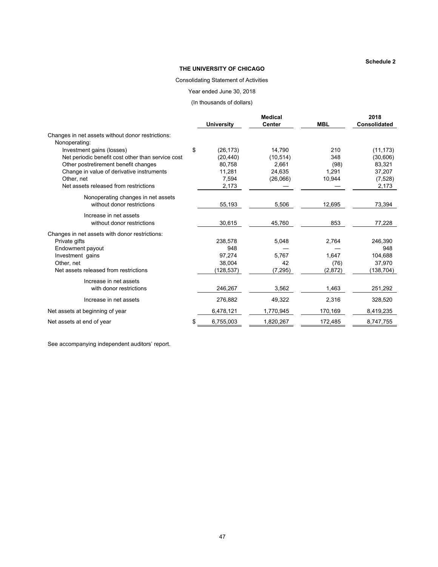#### **THE UNIVERSITY OF CHICAGO**

#### Consolidating Statement of Activities

Year ended June 30, 2018

(In thousands of dollars)

|                                                                    | <b>Medical</b>    |               |            | 2018                |
|--------------------------------------------------------------------|-------------------|---------------|------------|---------------------|
|                                                                    | <b>University</b> | <b>Center</b> | <b>MBL</b> | <b>Consolidated</b> |
| Changes in net assets without donor restrictions:<br>Nonoperating: |                   |               |            |                     |
| Investment gains (losses)                                          | \$<br>(26, 173)   | 14,790        | 210        | (11, 173)           |
| Net periodic benefit cost other than service cost                  | (20, 440)         | (10, 514)     | 348        | (30,606)            |
| Other postretirement benefit changes                               | 80,758            | 2,661         | (98)       | 83,321              |
| Change in value of derivative instruments                          | 11,281            | 24,635        | 1,291      | 37,207              |
| Other, net                                                         | 7,594             | (26,066)      | 10,944     | (7,528)             |
| Net assets released from restrictions                              | 2,173             |               |            | 2,173               |
| Nonoperating changes in net assets<br>without donor restrictions   | 55,193            | 5,506         | 12,695     | 73,394              |
| Increase in net assets                                             |                   |               |            |                     |
| without donor restrictions                                         | 30,615            | 45,760        | 853        | 77,228              |
| Changes in net assets with donor restrictions:                     |                   |               |            |                     |
| Private gifts                                                      | 238,578           | 5,048         | 2,764      | 246,390             |
| Endowment payout                                                   | 948               |               |            | 948                 |
| Investment gains                                                   | 97,274            | 5,767         | 1,647      | 104,688             |
| Other, net                                                         | 38.004            | 42            | (76)       | 37,970              |
| Net assets released from restrictions                              | (128,537)         | (7, 295)      | (2,872)    | (138, 704)          |
| Increase in net assets                                             |                   |               |            |                     |
| with donor restrictions                                            | 246,267           | 3,562         | 1,463      | 251,292             |
| Increase in net assets                                             | 276,882           | 49,322        | 2,316      | 328,520             |
| Net assets at beginning of year                                    | 6,478,121         | 1,770,945     | 170,169    | 8,419,235           |
| Net assets at end of year                                          | 6,755,003         | 1,820,267     | 172,485    | 8,747,755           |

See accompanying independent auditors' report.